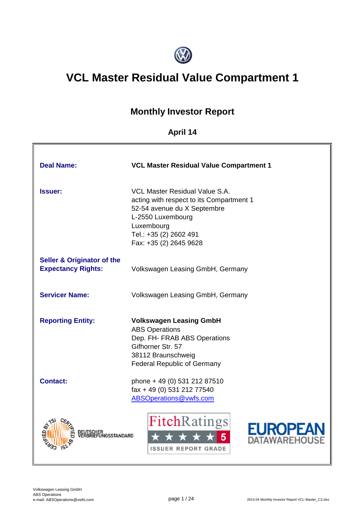

# **VCL Master Residual Value Compartment 1**

# **Monthly Investor Report**

# **April 14**

| <b>Deal Name:</b>                                                  | <b>VCL Master Residual Value Compartment 1</b>                                                                                                                                                   |
|--------------------------------------------------------------------|--------------------------------------------------------------------------------------------------------------------------------------------------------------------------------------------------|
| <b>Issuer:</b>                                                     | VCL Master Residual Value S.A.<br>acting with respect to its Compartment 1<br>52-54 avenue du X Septembre<br>L-2550 Luxembourg<br>Luxembourg<br>Tel.: +35 (2) 2602 491<br>Fax: +35 (2) 2645 9628 |
| <b>Seller &amp; Originator of the</b><br><b>Expectancy Rights:</b> | Volkswagen Leasing GmbH, Germany                                                                                                                                                                 |
| <b>Servicer Name:</b>                                              | Volkswagen Leasing GmbH, Germany                                                                                                                                                                 |
| <b>Reporting Entity:</b>                                           | <b>Volkswagen Leasing GmbH</b><br><b>ABS Operations</b><br>Dep. FH- FRAB ABS Operations<br>Gifhorner Str. 57<br>38112 Braunschweig<br><b>Federal Republic of Germany</b>                         |
| <b>Contact:</b>                                                    | phone + 49 (0) 531 212 87510<br>fax + 49 (0) 531 212 77540<br>ABSOperations@vwfs.com                                                                                                             |
| SUHER<br>PIFFUNGSSTANDARD                                          | <b>FitchRatings</b><br>EUROPEA<br><b>ATAWAREHOUSE</b><br><b>ISSUER REPORT GRADE</b>                                                                                                              |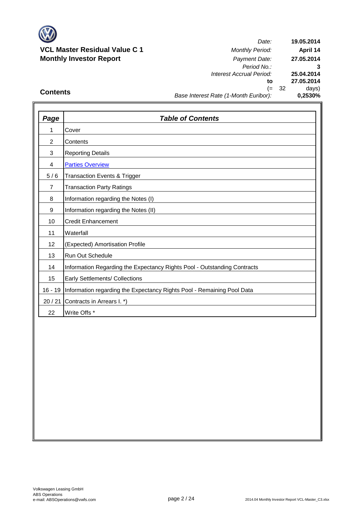

### **VCL Master Residual Value C 1** *Monthly Period:* **Monthly Investor Report** *Payment Date:*

*Date: Period No.: Interest Accrual Period:* **to** (= 32 days) *Base Interest Rate (1-Month Euribor):* **25.04.2014 27.05.2014 0,2530% 19.05.2014 April 14 27.05.2014 3**

## **Contents**

| Page           | <b>Table of Contents</b>                                                 |
|----------------|--------------------------------------------------------------------------|
| 1              | Cover                                                                    |
| $\overline{c}$ | Contents                                                                 |
| 3              | <b>Reporting Details</b>                                                 |
| 4              | <b>Parties Overview</b>                                                  |
| 5/6            | <b>Transaction Events &amp; Trigger</b>                                  |
| $\overline{7}$ | <b>Transaction Party Ratings</b>                                         |
| 8              | Information regarding the Notes (I)                                      |
| 9              | Information regarding the Notes (II)                                     |
| 10             | <b>Credit Enhancement</b>                                                |
| 11             | Waterfall                                                                |
| 12             | (Expected) Amortisation Profile                                          |
| 13             | <b>Run Out Schedule</b>                                                  |
| 14             | Information Regarding the Expectancy Rights Pool - Outstanding Contracts |
| 15             | <b>Early Settlements/ Collections</b>                                    |
| $16 - 19$      | Information regarding the Expectancy Rights Pool - Remaining Pool Data   |
| 20/21          | Contracts in Arrears I. *)                                               |
| 22             | Write Offs *                                                             |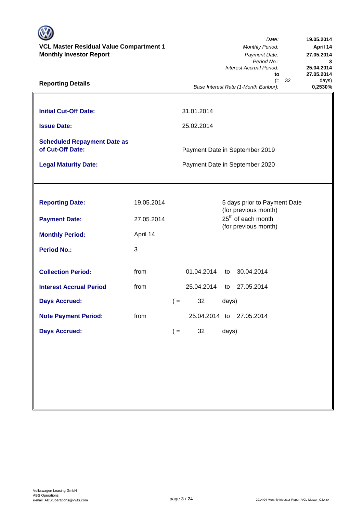| <b>VCL Master Residual Value Compartment 1</b><br><b>Monthly Investor Report</b><br><b>Reporting Details</b> |                          |       | Date:<br>19.05.2014<br><b>Monthly Period:</b><br>April 14<br>Payment Date:<br>27.05.2014<br>Period No.:<br>Interest Accrual Period:<br>25.04.2014<br>27.05.2014<br>to<br>32<br>$(=$<br>days) |       |                                                                                        |         |  |  |  |
|--------------------------------------------------------------------------------------------------------------|--------------------------|-------|----------------------------------------------------------------------------------------------------------------------------------------------------------------------------------------------|-------|----------------------------------------------------------------------------------------|---------|--|--|--|
|                                                                                                              |                          |       |                                                                                                                                                                                              |       | Base Interest Rate (1-Month Euribor):                                                  | 0,2530% |  |  |  |
| <b>Initial Cut-Off Date:</b>                                                                                 |                          |       | 31.01.2014                                                                                                                                                                                   |       |                                                                                        |         |  |  |  |
| <b>Issue Date:</b>                                                                                           |                          |       | 25.02.2014                                                                                                                                                                                   |       |                                                                                        |         |  |  |  |
| <b>Scheduled Repayment Date as</b><br>of Cut-Off Date:<br><b>Legal Maturity Date:</b>                        |                          |       |                                                                                                                                                                                              |       | Payment Date in September 2019<br>Payment Date in September 2020                       |         |  |  |  |
|                                                                                                              |                          |       |                                                                                                                                                                                              |       |                                                                                        |         |  |  |  |
| <b>Reporting Date:</b><br><b>Payment Date:</b>                                                               | 19.05.2014<br>27.05.2014 |       |                                                                                                                                                                                              |       | 5 days prior to Payment Date<br>(for previous month)<br>25 <sup>th</sup> of each month |         |  |  |  |
| <b>Monthly Period:</b>                                                                                       | April 14                 |       |                                                                                                                                                                                              |       | (for previous month)                                                                   |         |  |  |  |
| <b>Period No.:</b>                                                                                           | 3                        |       |                                                                                                                                                                                              |       |                                                                                        |         |  |  |  |
| <b>Collection Period:</b>                                                                                    | from                     |       | 01.04.2014                                                                                                                                                                                   | to    | 30.04.2014                                                                             |         |  |  |  |
| <b>Interest Accrual Period</b>                                                                               | from                     |       | 25.04.2014                                                                                                                                                                                   | to    | 27.05.2014                                                                             |         |  |  |  |
| <b>Days Accrued:</b>                                                                                         |                          | $($ = | 32                                                                                                                                                                                           | days) |                                                                                        |         |  |  |  |
| <b>Note Payment Period:</b>                                                                                  | from                     |       | 25.04.2014 to                                                                                                                                                                                |       | 27.05.2014                                                                             |         |  |  |  |
| <b>Days Accrued:</b>                                                                                         |                          | $($ = | 32                                                                                                                                                                                           | days) |                                                                                        |         |  |  |  |
|                                                                                                              |                          |       |                                                                                                                                                                                              |       |                                                                                        |         |  |  |  |
|                                                                                                              |                          |       |                                                                                                                                                                                              |       |                                                                                        |         |  |  |  |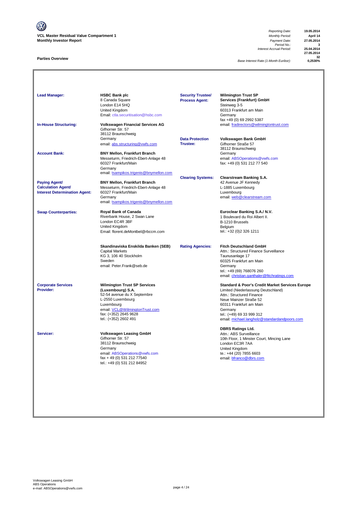**VCL Master Residual Value Compartment 1** *Monthly Period:* **April 14 Monthly Investor Report** *Payment Date:* **27.05.2014**

#### **Parties Overview**

*Reporting Date:* **19.05.2014** *Payment Date:* **27.05.2014**<br>*Period No.:* **3**<br>*Accrual Period:* **35.04.2014** *Interest Accrual Period:* **25.04.2014**

**27.05.2014** 32<br>-12530 *025* 

**Base Interest Rate (1-Month Euribor):** 

Lead Manager: **HSBC Bank plc Manager: HSBC Bank plc Wilmington Trust SP** 8 Canada Square **Services (Frankfurt) GmbH**<br> **Rocess Agent:** Services (Frankfurt) GmbH<br>
Steinweg 3-5 London E14 5HQ<br>United Kingdom Summay 2<br>60313 Frankfurt am Main<br>Germany [Email: ctla.securitisation@hsbc.com](mailto:ctla.securitisation@hsbc.com) fax +49 (0) 69 2992 5387<br>email: fradirectors@wilmingtontrust.com **In-House Structuring: <b>Volkswagen Financial Services AG** Gifhorner Str. 57 38112 Braunschweig<br>Germany **Data Protection Volkswagen Bank GmbH**<br>**Trustee:** Gifhorner Straße 57 email: abs.structuring@vwfs.com 38112 Braunschweig Account Bank: **BNY Mellon, Frankfurt Branch** Messeturm, Friedrich-Ebert-Anlage 48 email: ABSOperations@vwfs.com 60327 Frankfurt/Main fax: +49 (0) 531 212 77 540 Germany email: tsampikos.trigenis@bnymellon.com **Clearing Systems: Clearstream Banking S.A.**<br>42 Avenue JF Kennedy<br>L-1885 Luxembourg **Paying Agent/ BNY Mellon, Frankfurt Branch**<br> **Calculation Agent/ BRY Messeturm, Friedrich-Ebert-Anla Messeturm, Friedrich-Ebert-Anlage 48 60327 Frankfurt/Main Interest Determination Agent:** 60327 Fra<br>Germany Germany email: <u>web@clearstream.com</u> email: tsampikos.trigenis@bnymellon.com **Swap Counterparties: Royal Bank of Canada Euroclear Banking S.A./ N.V.**<br>Riverbank House, 2 Swan Lane **Europe State State 19** 1 Boulevard du Roi Albert II. Riverbank House, 2 Swan Lane 1 Boulevard du Roi Albert II. London EC4R 3BF B-1210 Brussels United Kingdom<br>
Email: florent.deMontbel@rbccm.com<br>
Email: florent.deMontbel@rbccm.com<br>
Selgium
Belgium
Belgium
Belgium Email: florent.deMontbel@rbccm.com **Skandinaviska Enskilda Banken (SEB) Rating Agencies: Fitch Deutschland GmbH** Attn.: Structured Finance Surveillance<br>Taunusanlage 17  $KG$  3, 106 40 Stockholm Sweden 60325 Frankfurt am Main email: Peter.Frank@seb.de Germany tel.: +49 (69) 768076 260 [email: christian.ganthaler@fitchratings.com](mailto:abssurveillance@fitchratings.com) **Corporate Services Wilmington Trust SP Services Services Standard & Poor's Credit Market Services Europe**<br> **Provider:** (Luxembourg) S.A. (Luxembourg) S.A. (Luxembourg) S.A. (Luxembourg) S.A. (Luxembourg) S.A. (Luxem Limited (Niederlassung Deutschland)<br>Attn.: Structured Finance to 52-54 avenue du X Septembre<br>L-2550 Luxembourg L-2550 Luxembourg in the main of the Mainzer Straße 52 Luxembourg in the Mainzer Straße 52<br>Luxembourg in the Main of the Main of the Main of the Main of the Main of the Main of the Main of the Main of 100311 Frankfurt am Main<br>Germany email: <u>VCL@WilmingtonTrust.com</u><br>fax: (+352) 2645 9628<br>tel.: (+352) 2602 491 tel.: (+49) 69 33 999 312 email: michael.langholz@standardandpoors.com **DBRS Ratings Ltd. Servicer: Volkswagen Leasing GmbH**<br>Gifhorner Str.: 57 10th Floor, 1 Minster Court, Mincing Lane<br>London EC3R 7AA 38112 Braunschweig Germany **Community** Contract Community Contract Community Contract Community Community Community Community Community Community Community Community Community Community Community Community Community Community Community Commu email: <u>ABSOperations@vwfs.com</u> te.: +44 (20) 7855 6603<br>fax + 49 (0) 531 212 77540 email: <u>bfranco@dbrs.com</u> tel.: +49 (0) 531 212 84952 **Security Trustee/ Process Agent:**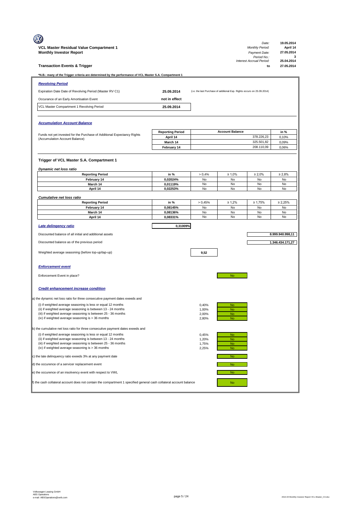|                                                                                                                                                 |                         |                |                                                                         | Date:                          | 19.05.2014               |
|-------------------------------------------------------------------------------------------------------------------------------------------------|-------------------------|----------------|-------------------------------------------------------------------------|--------------------------------|--------------------------|
| VCL Master Residual Value Compartment 1                                                                                                         |                         |                |                                                                         | Monthly Period:                | April 14                 |
| <b>Monthly Investor Report</b>                                                                                                                  |                         |                |                                                                         | Payment Date:<br>Period No.:   | 27.05.2014<br>3          |
| <b>Transaction Events &amp; Trigger</b>                                                                                                         |                         |                |                                                                         | Interest Accrual Period:<br>to | 25.04.2014<br>27.05.2014 |
| N.B.: many of the Trigger criteria are determined by the performance of VCL Master S.A. Compartment 1*                                          |                         |                |                                                                         |                                |                          |
| <b>Revolving Period</b>                                                                                                                         |                         |                |                                                                         |                                |                          |
| Expiration Date Date of Revolving Period (Master RV C1)                                                                                         | 25.09.2014              |                | (i.e. the last Purchase of additional Exp. Rights occurs on 25.09.2014) |                                |                          |
|                                                                                                                                                 |                         |                |                                                                         |                                |                          |
| Occurance of an Early Amortisation Event                                                                                                        | not in effect           |                |                                                                         |                                |                          |
| VCL Master Compartment 1 Revolving Period                                                                                                       | 25.09.2014              |                |                                                                         |                                |                          |
|                                                                                                                                                 |                         |                |                                                                         |                                |                          |
| <b>Accumulation Account Balance</b>                                                                                                             |                         |                |                                                                         |                                |                          |
| Funds not yet invested for the Purchase of Additional Expectancy Rights                                                                         | <b>Reporting Period</b> |                | <b>Account Balance</b>                                                  |                                | in %                     |
| (Accumulation Account Balance)                                                                                                                  | April 14<br>March 14    |                |                                                                         | 378.226,23<br>325.501,82       | 0,10%<br>0,09%           |
|                                                                                                                                                 | February 14             |                |                                                                         | 208.110,09                     | 0,06%                    |
|                                                                                                                                                 |                         |                |                                                                         |                                |                          |
| Trigger of VCL Master S.A. Compartment 1                                                                                                        |                         |                |                                                                         |                                |                          |
| <b>Dynamic net loss ratio</b>                                                                                                                   |                         |                |                                                                         |                                |                          |
| <b>Reporting Period</b>                                                                                                                         | in %                    | > 0,4%         | $\geq 1,0\%$                                                            | $\geq 2,0\%$                   | $\geq 2,8\%$             |
| February 14                                                                                                                                     | 0,02024%                | No             | No                                                                      | No                             | No                       |
| March 14<br>April 14                                                                                                                            | 0,01119%<br>0,02253%    | No<br>No       | No<br>No                                                                | No<br>No                       | No<br>No                 |
|                                                                                                                                                 |                         |                |                                                                         |                                |                          |
| <b>Cumulative net loss ratio</b><br><b>Reporting Period</b>                                                                                     | in %                    | > 0,45%        | $\geq 1.2\%$                                                            | $\geq 1,75\%$                  | $\geq 2,25\%$            |
| February 14                                                                                                                                     | 0,08145%                | No             | No                                                                      | No                             | No                       |
| March 14<br>April 14                                                                                                                            | 0,08136%<br>0,08331%    | No<br>No       | No<br>No                                                                | No<br>No                       | No<br>No                 |
|                                                                                                                                                 |                         |                |                                                                         |                                |                          |
| Late delingency ratio                                                                                                                           | 0,31009%                |                |                                                                         |                                |                          |
|                                                                                                                                                 |                         |                |                                                                         |                                |                          |
| Discounted balance of all initial and additional assets                                                                                         |                         |                |                                                                         |                                | 8.999.940.998,11         |
| Discounted balance as of the previous period                                                                                                    |                         |                |                                                                         |                                | 1.346.434.171,27         |
|                                                                                                                                                 |                         |                |                                                                         |                                |                          |
| Weighted average seasoning (before top-up/tap-up)                                                                                               |                         | 9.52           |                                                                         |                                |                          |
|                                                                                                                                                 |                         |                |                                                                         |                                |                          |
| <b>Enforcement event</b>                                                                                                                        |                         |                |                                                                         |                                |                          |
| Enforcement Event in place?                                                                                                                     |                         |                | <b>No</b>                                                               |                                |                          |
|                                                                                                                                                 |                         |                |                                                                         |                                |                          |
| <b>Credit enhancement increase condition</b>                                                                                                    |                         |                |                                                                         |                                |                          |
| a) the dynamic net loss ratio for three consecutive payment dates exeeds and                                                                    |                         |                |                                                                         |                                |                          |
| (i) if weighted average seasoning is less or equal 12 months                                                                                    |                         | 0,40%          | No                                                                      |                                |                          |
| (ii) if weighted average seasoning is between 13 - 24 months<br>(iii) if weighted average seasoning is between 25 - 36 months                   |                         | 1,00%          | N <sub>O</sub>                                                          |                                |                          |
| (iv) if weighted average seasoning is > 36 months                                                                                               |                         | 2,00%<br>2,80% | <b>No</b><br><b>No</b>                                                  |                                |                          |
|                                                                                                                                                 |                         |                |                                                                         |                                |                          |
| b) the cumulative net loss ratio for three consecutive payment dates exeeds and<br>(i) if weighted average seasoning is less or equal 12 months |                         | 0,45%          | <b>No</b>                                                               |                                |                          |
| (ii) if weighted average seasoning is between 13 - 24 months                                                                                    |                         | 1,20%          | <b>No</b>                                                               |                                |                          |
| (iii) if weighted average seasoning is between 25 - 36 months                                                                                   |                         | 1,75%          | <b>No</b>                                                               |                                |                          |
| (iv) if weighted average seasoning is > 36 months<br>c) the late delinquency ratio exeeds 3% at any payment date                                |                         | 2,25%          | No<br>No                                                                |                                |                          |
| d) the occurence of a servicer replacement event                                                                                                |                         |                | No                                                                      |                                |                          |
| e) the occurence of an insolvency event with respect to VWL                                                                                     |                         |                | <b>No</b>                                                               |                                |                          |
| f) the cash collateral account does not contain the compartment 1 specified general cash collateral account balance                             |                         |                | No                                                                      |                                |                          |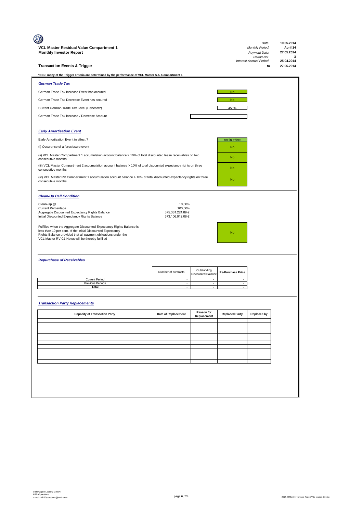|                                                                                                                                                                                                                                                           |                                                 |                                          |                          | Date:                          | 19.05.2014               |
|-----------------------------------------------------------------------------------------------------------------------------------------------------------------------------------------------------------------------------------------------------------|-------------------------------------------------|------------------------------------------|--------------------------|--------------------------------|--------------------------|
| VCL Master Residual Value Compartment 1                                                                                                                                                                                                                   |                                                 |                                          |                          | <b>Monthly Period:</b>         | April 14                 |
| <b>Monthly Investor Report</b>                                                                                                                                                                                                                            |                                                 |                                          |                          | Payment Date:<br>Period No.:   | 27.05.2014<br>3          |
| <b>Transaction Events &amp; Trigger</b>                                                                                                                                                                                                                   |                                                 |                                          |                          | Interest Accrual Period:<br>to | 25.04.2014<br>27.05.2014 |
| *N.B.: many of the Trigger criteria are determined by the performance of VCL Master S.A. Compartment 1                                                                                                                                                    |                                                 |                                          |                          |                                |                          |
| <b>German Trade Tax</b>                                                                                                                                                                                                                                   |                                                 |                                          |                          |                                |                          |
| German Trade Tax Increase Event has occured                                                                                                                                                                                                               |                                                 |                                          | <b>No</b>                |                                |                          |
| German Trade Tax Decrease Event has occured                                                                                                                                                                                                               |                                                 |                                          | <b>No</b>                |                                |                          |
| Current German Trade Tax Level (Hebesatz)                                                                                                                                                                                                                 |                                                 |                                          | 450%                     |                                |                          |
| German Trade Tax Increase-/ Decrease Amount                                                                                                                                                                                                               |                                                 |                                          |                          |                                |                          |
| <b>Early Amortisation Event</b>                                                                                                                                                                                                                           |                                                 |                                          |                          |                                |                          |
| Early Amortisation Event in effect ?                                                                                                                                                                                                                      |                                                 |                                          | not in effect            |                                |                          |
| (i) Occurence of a foreclosure event                                                                                                                                                                                                                      |                                                 |                                          | <b>No</b>                |                                |                          |
| (ii) VCL Master Compartment 1 accumulation account balance > 10% of total discounted lease receivables on two<br>consecutive months                                                                                                                       |                                                 |                                          | No                       |                                |                          |
| (iii) VCL Master Compartment 2 accumulation account balance > 10% of total discounted expectancy rights on three<br>consecutive months                                                                                                                    |                                                 |                                          | <b>No</b>                |                                |                          |
| (iv) VCL Master RV Compartment 1 accumulation account balance > 10% of total discounted expectancy rights on three<br>consecutive months                                                                                                                  |                                                 |                                          | <b>No</b>                |                                |                          |
| <b>Clean-Up Call Condition</b>                                                                                                                                                                                                                            |                                                 |                                          |                          |                                |                          |
| Clean-Up @                                                                                                                                                                                                                                                | 10,00%                                          |                                          |                          |                                |                          |
| <b>Current Percentage</b><br>Aggregate Discounted Expectancy Rights Balance<br>Initial Discounted Expectancy Rights Balance                                                                                                                               | 100,60%<br>375.361.224,89 €<br>373.106.912,06 € |                                          |                          |                                |                          |
| Fulfilled when the Aggregate Discounted Expectancy Rights Balance is<br>less than 10 per cent. of the Initial Discounted Expectancy<br>Rights Balance provided that all payment obligations under the<br>VCL Master RV C1 Notes will be thereby fulfilled |                                                 |                                          | <b>No</b>                |                                |                          |
| <b>Repurchase of Receivables</b>                                                                                                                                                                                                                          |                                                 |                                          |                          |                                |                          |
|                                                                                                                                                                                                                                                           | Number of contracts                             | Outstanding<br><b>Discounted Balance</b> | <b>Re-Purchase Price</b> |                                |                          |
| <b>Current Period</b><br><b>Previous Periods</b>                                                                                                                                                                                                          | $\sim$<br>$\sim$                                | $\overline{\phantom{a}}$                 |                          |                                |                          |
| Total                                                                                                                                                                                                                                                     | $\overline{\phantom{a}}$                        | $\overline{\phantom{a}}$                 |                          |                                |                          |
| <b>Transaction Party Replacements</b>                                                                                                                                                                                                                     |                                                 |                                          |                          |                                |                          |
| <b>Capacity of Transaction Party</b>                                                                                                                                                                                                                      | Date of Replacement                             | Reason for<br>Replacement                | <b>Replaced Party</b>    | <b>Replaced by</b>             |                          |
|                                                                                                                                                                                                                                                           |                                                 |                                          |                          |                                |                          |
|                                                                                                                                                                                                                                                           |                                                 |                                          |                          |                                |                          |
|                                                                                                                                                                                                                                                           |                                                 |                                          |                          |                                |                          |
|                                                                                                                                                                                                                                                           |                                                 |                                          |                          |                                |                          |
|                                                                                                                                                                                                                                                           |                                                 |                                          |                          |                                |                          |
|                                                                                                                                                                                                                                                           |                                                 |                                          |                          |                                |                          |
|                                                                                                                                                                                                                                                           |                                                 |                                          |                          |                                |                          |
|                                                                                                                                                                                                                                                           |                                                 |                                          |                          |                                |                          |
|                                                                                                                                                                                                                                                           |                                                 |                                          |                          |                                |                          |
|                                                                                                                                                                                                                                                           |                                                 |                                          |                          |                                |                          |
|                                                                                                                                                                                                                                                           |                                                 |                                          |                          |                                |                          |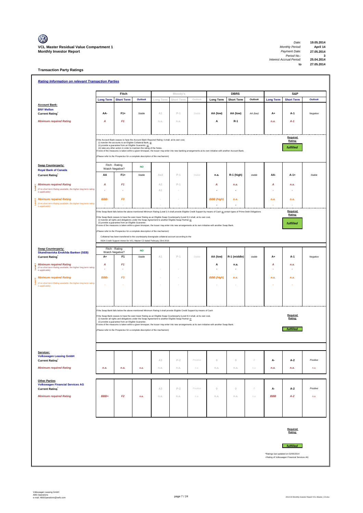**Transaction Party Ratings**

|             | <b>Rating Information on relevant Transaction Parties</b>                                           |                  |                                                         |                                                                                                                                                                                                                                                          |                      |            |          |                                                                                                                                                                                |                          |          |                  |                                                                                    |                |
|-------------|-----------------------------------------------------------------------------------------------------|------------------|---------------------------------------------------------|----------------------------------------------------------------------------------------------------------------------------------------------------------------------------------------------------------------------------------------------------------|----------------------|------------|----------|--------------------------------------------------------------------------------------------------------------------------------------------------------------------------------|--------------------------|----------|------------------|------------------------------------------------------------------------------------|----------------|
|             |                                                                                                     |                  | Fitch                                                   |                                                                                                                                                                                                                                                          |                      | Moody's    |          |                                                                                                                                                                                | <b>DBRS</b>              |          |                  | S&P                                                                                |                |
|             |                                                                                                     | <b>Long Term</b> | <b>Short Term</b>                                       | <b>Outlook</b>                                                                                                                                                                                                                                           | Long Tern            | Short Term | Outloo.  | <b>Long Term</b>                                                                                                                                                               | <b>Short Term</b>        | Outlook  | <b>Long Term</b> | <b>Short Term</b>                                                                  | <b>Outlook</b> |
|             | <b>Account Bank:</b><br><b>BNY Mellon</b>                                                           |                  |                                                         |                                                                                                                                                                                                                                                          |                      |            |          |                                                                                                                                                                                |                          |          |                  |                                                                                    |                |
|             | <b>Current Rating</b>                                                                               | AA-              | $F1+$                                                   | Stable                                                                                                                                                                                                                                                   | A1                   | $P-1$      | Stable   | AA (low)                                                                                                                                                                       | AA (low)                 | AA (low) | $A+$             | A-1                                                                                | Negative       |
|             | <b>Minimum required Rating</b>                                                                      | Α                | F1                                                      |                                                                                                                                                                                                                                                          | n.a.                 | n.a.       |          | Α                                                                                                                                                                              | R-1                      |          | n.a.             | $A-1$                                                                              |                |
|             |                                                                                                     |                  |                                                         |                                                                                                                                                                                                                                                          |                      |            |          |                                                                                                                                                                                |                          |          |                  |                                                                                    |                |
|             |                                                                                                     |                  |                                                         |                                                                                                                                                                                                                                                          |                      |            |          |                                                                                                                                                                                |                          |          |                  | Required                                                                           |                |
|             |                                                                                                     |                  | (ii) provide a guarantee from an Eligible Guarantor, or | the Account Bank ceases to have the Account Bank Required Rating it shall, at its own cost,<br>(i) transfer the accounts to an Eligible Collateral Bank, or                                                                                              |                      |            |          |                                                                                                                                                                                |                          |          |                  | Rating:                                                                            |                |
|             |                                                                                                     |                  |                                                         | (iii) take any other action in order to maintain the rating of the Notes.                                                                                                                                                                                |                      |            |          | f none of the measures is taken within a given timespan, the Issuer may enter into new banking arrangements at its own initiative with another Account Bank.                   |                          |          |                  | fulfilled                                                                          |                |
|             |                                                                                                     |                  |                                                         | Please refer to the Prospectus for a complete description of the mechanism)                                                                                                                                                                              |                      |            |          |                                                                                                                                                                                |                          |          |                  |                                                                                    |                |
|             | <b>Swap Counterparty:</b>                                                                           |                  | Fitch - Rating<br>Watch Negative?                       | <b>NO</b>                                                                                                                                                                                                                                                |                      |            |          |                                                                                                                                                                                |                          |          |                  |                                                                                    |                |
|             | <b>Royal Bank of Canada</b><br><b>Current Rating</b>                                                | AA               | $F1+$                                                   | Stable                                                                                                                                                                                                                                                   | Aa3                  | $P-1$      | Stable   | n.a.                                                                                                                                                                           | R-1 (high)               | stable   | AA-              | $A-1+$                                                                             | Stable         |
|             |                                                                                                     |                  |                                                         |                                                                                                                                                                                                                                                          |                      |            |          |                                                                                                                                                                                |                          |          |                  |                                                                                    |                |
| <b>PAB-</b> | <b>Minimum required Rating</b><br>(if no short term Rating available, the higher long term rating   | A                | F1                                                      |                                                                                                                                                                                                                                                          | A <sub>2</sub><br>A1 | $P-1$      |          | Α                                                                                                                                                                              | n.a.                     |          | Α                | n.a.                                                                               |                |
|             | is applicable)                                                                                      |                  |                                                         |                                                                                                                                                                                                                                                          |                      |            |          |                                                                                                                                                                                |                          |          |                  |                                                                                    |                |
|             | $\equiv$ Minimum required Rating<br>(if no short term Rating available, the higher long term rating | BBB-             | F3                                                      |                                                                                                                                                                                                                                                          |                      |            |          | <b>BBB</b> (high)                                                                                                                                                              | n.a.                     |          | n.a.             | n.a.                                                                               |                |
|             | is applicable)                                                                                      |                  |                                                         |                                                                                                                                                                                                                                                          |                      |            |          | If the Swap Bank falls below the above mentioned Minimum Rating (Level I) it shall provide Eligible Credit Support by means of Cash or certain types of Prime Debt Obligations |                          |          |                  | Required                                                                           |                |
|             |                                                                                                     |                  |                                                         | f the Swap Bank ceases to have the even lower Rating as an Eligible Swap Counterparty (Level II) it shall, at its own cost,                                                                                                                              |                      |            |          |                                                                                                                                                                                |                          |          |                  | Rating:                                                                            |                |
|             |                                                                                                     |                  | (ii) provide a guarantee from an Eligible Guarantor.    | (i) transfer all rights and obligations under the Swap Agreement to another Eligible Swap Partner or                                                                                                                                                     |                      |            |          | none of the measures is taken within a given timespan, the Issuer may enter into new arrangements at its own initiative with another Swap Bank.                                |                          |          |                  | fulfilled                                                                          |                |
|             |                                                                                                     |                  |                                                         | Please refer to the Prospectus for a complete description of the mechanism)                                                                                                                                                                              |                      |            |          |                                                                                                                                                                                |                          |          |                  |                                                                                    |                |
|             |                                                                                                     |                  |                                                         | Collateral has been transfered to the counterparty downgrade collateral account according to the                                                                                                                                                         |                      |            |          |                                                                                                                                                                                |                          |          |                  |                                                                                    |                |
|             |                                                                                                     |                  |                                                         | ISDA Credit Support Annex for VCL Master C2 dated February 23rd 2010.                                                                                                                                                                                    |                      |            |          |                                                                                                                                                                                |                          |          |                  |                                                                                    |                |
|             | <b>Swap Counterparty:</b><br>Skandinaviska Enskilda Banken (SEB)                                    |                  | Fitch - Rating<br>Watch Negative?                       | <b>NO</b>                                                                                                                                                                                                                                                |                      |            |          |                                                                                                                                                                                |                          |          |                  |                                                                                    |                |
|             | <b>Current Rating</b>                                                                               | A+               | F <sub>1</sub>                                          | Stable                                                                                                                                                                                                                                                   | A1                   | $P-1$      | Stable   | AA (low)                                                                                                                                                                       | R-1 (middle)             | stable   | $A+$             | A-1                                                                                | Negative       |
| lleve-      | <b>Minimum required Rating</b><br>(if no short term Rating available, the higher long term rating   | A                | F1                                                      |                                                                                                                                                                                                                                                          |                      |            |          | Α                                                                                                                                                                              | n.a.                     |          | А                | n.a.                                                                               |                |
|             | is applicable)                                                                                      |                  |                                                         |                                                                                                                                                                                                                                                          |                      |            |          |                                                                                                                                                                                | $\overline{\phantom{a}}$ |          |                  |                                                                                    |                |
|             | <b>Minimum required Rating</b>                                                                      | <b>BBB-</b>      | F3                                                      |                                                                                                                                                                                                                                                          |                      |            |          | <b>BBB</b> (high)                                                                                                                                                              | n.a.                     |          | n.a.             | n.a.                                                                               |                |
| Leve        | (if no short term Rating available, the higher long term rating<br>is applicable)                   |                  |                                                         |                                                                                                                                                                                                                                                          |                      |            |          |                                                                                                                                                                                |                          |          |                  |                                                                                    |                |
|             |                                                                                                     |                  |                                                         |                                                                                                                                                                                                                                                          |                      |            |          |                                                                                                                                                                                |                          |          |                  |                                                                                    |                |
|             |                                                                                                     |                  |                                                         |                                                                                                                                                                                                                                                          |                      |            |          |                                                                                                                                                                                |                          |          |                  |                                                                                    |                |
|             |                                                                                                     |                  |                                                         |                                                                                                                                                                                                                                                          |                      |            |          |                                                                                                                                                                                |                          |          |                  |                                                                                    |                |
|             |                                                                                                     |                  |                                                         | If the Swap Bank falls below the above mentioned Minimum Rating it shall provide Eligible Credit Support by means of Cash<br>f the Swap Bank ceases to have the even lower Rating as an Eligible Swap Counterparty (Level II) it shall, at its own cost, |                      |            |          |                                                                                                                                                                                |                          |          |                  | Required                                                                           |                |
|             |                                                                                                     |                  | (ii) provide a guarantee from an Eligible Guarantor.    | (i) transfer all rights and obligations under the Swap Agreement to another Eligible Swap Partner or                                                                                                                                                     |                      |            |          |                                                                                                                                                                                |                          |          |                  | Rating:                                                                            |                |
|             |                                                                                                     |                  |                                                         | (Please refer to the Prospectus for a complete description of the mechanism)                                                                                                                                                                             |                      |            |          | f none of the measures is taken within a given timespan, the Issuer may enter into new arrangements at its own initiative with another Swap Bank.                              |                          |          |                  | <b>fulfilled</b>                                                                   |                |
|             |                                                                                                     |                  |                                                         |                                                                                                                                                                                                                                                          |                      |            |          |                                                                                                                                                                                |                          |          |                  |                                                                                    |                |
|             |                                                                                                     |                  |                                                         |                                                                                                                                                                                                                                                          |                      |            |          |                                                                                                                                                                                |                          |          |                  |                                                                                    |                |
|             |                                                                                                     |                  |                                                         |                                                                                                                                                                                                                                                          |                      |            |          |                                                                                                                                                                                |                          |          |                  |                                                                                    |                |
|             | Servicer:<br><b>Volkswagen Leasing GmbH</b>                                                         |                  |                                                         |                                                                                                                                                                                                                                                          |                      |            |          |                                                                                                                                                                                |                          |          |                  |                                                                                    |                |
|             | <b>Current Rating</b>                                                                               |                  |                                                         |                                                                                                                                                                                                                                                          | A3                   | $P-2$      | Positive | $\mathbb O$                                                                                                                                                                    | $\mathbb O$              | $\cal O$ | А-               | A-2                                                                                | Positive       |
|             | <b>Minimum required Rating</b>                                                                      | n.a.             | n.a.                                                    | n.a.                                                                                                                                                                                                                                                     | n.a.                 | n.a.       | n.a.     | n.a.                                                                                                                                                                           | n.a.                     | n.a.     | n.a.             | n.a.                                                                               | n.a.           |
|             |                                                                                                     |                  |                                                         |                                                                                                                                                                                                                                                          |                      |            |          |                                                                                                                                                                                |                          |          |                  |                                                                                    |                |
|             | <b>Other Parties</b><br><b>Volkswagen Financial Services AG</b>                                     |                  |                                                         |                                                                                                                                                                                                                                                          |                      |            |          |                                                                                                                                                                                |                          |          |                  |                                                                                    |                |
|             | Current Rating                                                                                      |                  |                                                         |                                                                                                                                                                                                                                                          | A3                   | $P-2$      | Positive | $\mathbb O$                                                                                                                                                                    | $\mathbb O$              | $\theta$ | А-               | A-2                                                                                | Positive       |
|             | <b>Minimum required Rating</b>                                                                      | BBB+             | F2                                                      | n.a.                                                                                                                                                                                                                                                     | n.a.                 | n.a.       | n.a.     | n.a.                                                                                                                                                                           | n.a.                     | n.a.     | <b>BBB</b>       | $A-2$                                                                              | n.a.           |
|             |                                                                                                     |                  |                                                         |                                                                                                                                                                                                                                                          |                      |            |          |                                                                                                                                                                                |                          |          |                  |                                                                                    |                |
|             |                                                                                                     |                  |                                                         |                                                                                                                                                                                                                                                          |                      |            |          |                                                                                                                                                                                |                          |          |                  |                                                                                    |                |
|             |                                                                                                     |                  |                                                         |                                                                                                                                                                                                                                                          |                      |            |          |                                                                                                                                                                                |                          |          |                  |                                                                                    |                |
|             |                                                                                                     |                  |                                                         |                                                                                                                                                                                                                                                          |                      |            |          |                                                                                                                                                                                |                          |          |                  | Required                                                                           |                |
|             |                                                                                                     |                  |                                                         |                                                                                                                                                                                                                                                          |                      |            |          |                                                                                                                                                                                |                          |          |                  | Rating:                                                                            |                |
|             |                                                                                                     |                  |                                                         |                                                                                                                                                                                                                                                          |                      |            |          |                                                                                                                                                                                |                          |          |                  |                                                                                    |                |
|             |                                                                                                     |                  |                                                         |                                                                                                                                                                                                                                                          |                      |            |          |                                                                                                                                                                                |                          |          |                  | fulfilled                                                                          |                |
|             |                                                                                                     |                  |                                                         |                                                                                                                                                                                                                                                          |                      |            |          |                                                                                                                                                                                |                          |          |                  | *Ratings last updated on 02/05/2014<br>+Rating of Volkswagen Financial Services AG |                |
|             |                                                                                                     |                  |                                                         |                                                                                                                                                                                                                                                          |                      |            |          |                                                                                                                                                                                |                          |          |                  |                                                                                    |                |
|             |                                                                                                     |                  |                                                         |                                                                                                                                                                                                                                                          |                      |            |          |                                                                                                                                                                                |                          |          |                  |                                                                                    |                |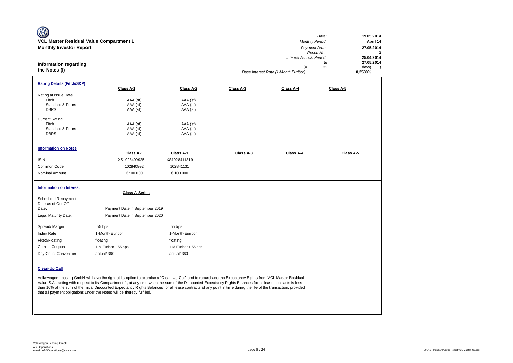| W<br>VCL Master Residual Value Compartment 1<br><b>Monthly Investor Report</b><br><b>Information regarding</b><br>the Notes (I)       |                                                                                           |                                                                             |           | Monthly Period:<br>Payment Date:<br>Interest Accrual Period:<br>$(=$<br>Base Interest Rate (1-Month Euribor): | 19.05.2014<br>Date:<br>April 14<br>27.05.2014<br>Period No.:<br>3<br>25.04.2014<br>27.05.2014<br>to<br>32<br>days)<br>$\rightarrow$<br>0,2530% |
|---------------------------------------------------------------------------------------------------------------------------------------|-------------------------------------------------------------------------------------------|-----------------------------------------------------------------------------|-----------|---------------------------------------------------------------------------------------------------------------|------------------------------------------------------------------------------------------------------------------------------------------------|
| <b>Rating Details (Fitch/S&amp;P)</b>                                                                                                 | Class A-1                                                                                 | Class A-2                                                                   | Class A-3 | Class A-4                                                                                                     | Class A-5                                                                                                                                      |
| Rating at Issue Date<br>Fitch<br>Standard & Poors<br><b>DBRS</b><br><b>Current Rating</b><br>Fitch<br>Standard & Poors<br><b>DBRS</b> | AAA (sf)<br>AAA (sf)<br>AAA (sf)<br>AAA (sf)<br>AAA (sf)<br>AAA (sf)                      | AAA (sf)<br>AAA (sf)<br>AAA (sf)<br>AAA (sf)<br>AAA (sf)<br>AAA (sf)        |           |                                                                                                               |                                                                                                                                                |
| <b>Information on Notes</b><br><b>ISIN</b><br>Common Code<br>Nominal Amount                                                           | Class A-1<br>XS1028409925<br>102840992<br>€ 100.000                                       | Class A-1<br>XS1028411319<br>102841131<br>€ 100.000                         | Class A-3 | Class A-4                                                                                                     | Class A-5                                                                                                                                      |
| <b>Information on Interest</b><br>Scheduled Repayment<br>Date as of Cut-Off<br>Date:<br>Legal Maturity Date:                          | <b>Class A-Series</b><br>Payment Date in September 2019<br>Payment Date in September 2020 |                                                                             |           |                                                                                                               |                                                                                                                                                |
| Spread/ Margin<br>Index Rate<br>Fixed/Floating<br>Current Coupon<br>Day Count Convention                                              | 55 bps<br>1-Month-Euribor<br>floating<br>1-M-Euribor + 55 bps<br>actual/360               | 55 bps<br>1-Month-Euribor<br>floating<br>1-M-Euribor + 55 bps<br>actual/360 |           |                                                                                                               |                                                                                                                                                |

**Clean-Up Call**

Volkswagen Leasing GmbH will have the right at its option to exercise a "Clean-Up Call" and to repurchase the Expectancy Rights from VCL Master Residual Value S.A., acting with respect to its Compartment 1, at any time when the sum of the Discounted Expectancy Rights Balances for all lease contracts is less than 10% of the sum of the Initial Discounted Expectancy Rights Balances for all lease contracts at any point in time during the life of the transaction, provided that all payment obligations under the Notes will be thereby fulfilled.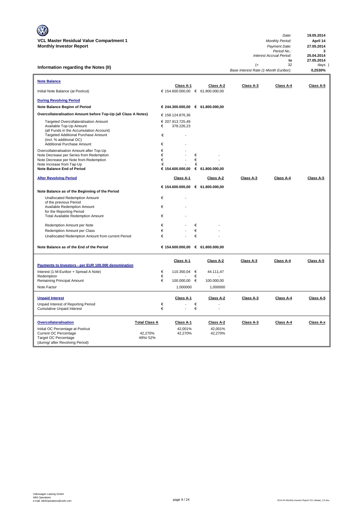**Information regarding the Notes (II)**

| Date:                                 |    | 19.05.2014 |  |
|---------------------------------------|----|------------|--|
| <b>Monthly Period:</b>                |    | April 14   |  |
| Payment Date:                         |    | 27.05.2014 |  |
| Period No.:                           |    | з          |  |
| Interest Accrual Period:              |    | 25.04.2014 |  |
|                                       | to | 27.05.2014 |  |
| $(=$                                  | 32 | $days$ )   |  |
| Base Interest Rate (1-Month Euribor): |    | 0.2530%    |  |

| <b>Note Balance</b>                                                                                                                                                                                         |                      |                  | Class A-1                      |             | Class A-2                        | Class A-3 | Class A-4 | Class A-5 |
|-------------------------------------------------------------------------------------------------------------------------------------------------------------------------------------------------------------|----------------------|------------------|--------------------------------|-------------|----------------------------------|-----------|-----------|-----------|
| Initial Note Balance (at Poolcut)                                                                                                                                                                           |                      |                  |                                |             | € 154.600.000,00 € 61.800.000,00 |           |           |           |
| <b>During Revolving Period</b>                                                                                                                                                                              |                      |                  |                                |             |                                  |           |           |           |
| Note Balance Beginn of Period                                                                                                                                                                               |                      |                  |                                |             | € 244.300.000,00 € 61.800.000,00 |           |           |           |
| Overcollateralisation Amount before Top-Up (all Class A Notes)                                                                                                                                              |                      |                  | € 158.124.876,36               |             |                                  |           |           |           |
| Targeted Overcollateralisation Amount<br>Available Top-Up Amount<br>(all Funds in the Accumulation Account)<br>Targeted Additional Purchase Amount<br>(incl. % additional OC)<br>Additional Purchase Amount |                      | €<br>€<br>€      | € 207.913.725,49<br>378.226,23 |             |                                  |           |           |           |
| Overcollateralisation Amount after Top-Up<br>Note Decrease per Series from Redemption<br>Note Decrease per Note from Redemption<br>Note Increase from Tap-Up<br><b>Note Balance End of Period</b>           |                      | €<br>€<br>€<br>€ |                                | €<br>€<br>€ | € 154.600.000,00 € 61.800.000,00 |           |           |           |
| <b>After Revolving Period</b>                                                                                                                                                                               |                      |                  | Class A-1                      |             | Class A-2                        | Class A-3 | Class A-4 | Class A-5 |
|                                                                                                                                                                                                             |                      |                  |                                |             | € 154.600.000,00 € 61.800.000,00 |           |           |           |
| Note Balance as of the Beginning of the Period                                                                                                                                                              |                      |                  |                                |             |                                  |           |           |           |
| <b>Unallocated Redemption Amount</b>                                                                                                                                                                        |                      | €                |                                |             |                                  |           |           |           |
| of the previous Period<br>Available Redemption Amount                                                                                                                                                       |                      | €                |                                |             |                                  |           |           |           |
| for the Reporting Period                                                                                                                                                                                    |                      |                  |                                |             |                                  |           |           |           |
| <b>Total Available Redemption Amount</b>                                                                                                                                                                    |                      | €                |                                |             |                                  |           |           |           |
| Redemption Amount per Note                                                                                                                                                                                  |                      | €                |                                | €           |                                  |           |           |           |
| Redemption Amount per Class                                                                                                                                                                                 |                      | €                |                                | €           |                                  |           |           |           |
| Unallocated Redemption Amount from current Period                                                                                                                                                           |                      | €                |                                | €           |                                  |           |           |           |
| Note Balance as of the End of the Period                                                                                                                                                                    |                      |                  |                                |             | € 154.600.000,00 € 61.800.000,00 |           |           |           |
|                                                                                                                                                                                                             |                      |                  | Class A-1                      |             | Class A-2                        | Class A-3 | Class A-4 | Class A-5 |
| Payments to Investors - per EUR 100.000 denomination                                                                                                                                                        |                      |                  |                                |             |                                  |           |           |           |
| Interest (1-M-Euribor + Spread A Note)<br>Redemption                                                                                                                                                        |                      | €<br>€           | 110.350,04 €                   | €           | 44.111,47                        |           |           |           |
| Remaining Principal Amount                                                                                                                                                                                  |                      | €                | 100.000,00                     | €           | 100.000,00                       |           |           |           |
| Note Factor                                                                                                                                                                                                 |                      |                  | 1,000000                       |             | 1,000000                         |           |           |           |
| <b>Unpaid Interest</b>                                                                                                                                                                                      |                      |                  | Class A-1                      |             | Class A-2                        | Class A-3 | Class A-4 | Class A-5 |
| Unpaid Interest of Reporting Period                                                                                                                                                                         |                      | €                |                                | €           |                                  |           |           |           |
| <b>Cumulative Unpaid Interest</b>                                                                                                                                                                           |                      | €                |                                | €           |                                  |           |           |           |
| <b>Overcollateralisation</b>                                                                                                                                                                                | <b>Total Class A</b> |                  | Class A-1                      |             | Class A-2                        | Class A-3 | Class A-4 | Class A-x |
| Initial OC Percentage at Poolcut                                                                                                                                                                            |                      |                  | 42,001%                        |             | 42,001%                          |           |           |           |
| <b>Current OC Percentage</b>                                                                                                                                                                                | 42,270%              |                  | 42,270%                        |             | 42,270%                          |           |           |           |
| <b>Target OC Percentage</b><br>(during/ after Revolving Period)                                                                                                                                             | 49%/52%              |                  |                                |             |                                  |           |           |           |
|                                                                                                                                                                                                             |                      |                  |                                |             |                                  |           |           |           |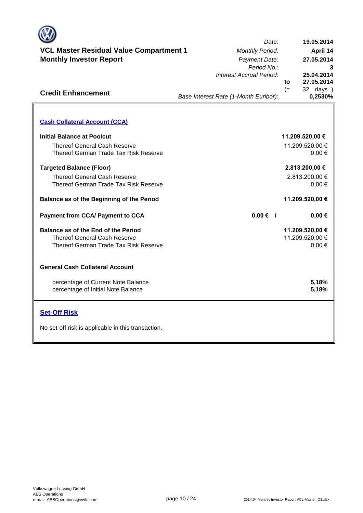

## **VCL Master Residual Value Compartment 1** *Monthly Period:* **Monthly Investor Report**

|      | Date:                                 |      | 19.05.2014                    |
|------|---------------------------------------|------|-------------------------------|
| 1t 1 | <b>Monthly Period:</b>                |      | <b>April 14</b>               |
|      | Payment Date:                         |      | 27.05.2014                    |
|      | Period No.:                           |      | 3                             |
|      | Interest Accrual Period:              |      | 25.04.2014                    |
|      |                                       | to   | 27.05.2014                    |
|      | Base Interest Rate (1-Month Euribor): | $(=$ | 32 days )<br>0,2530%          |
|      |                                       |      |                               |
|      |                                       |      | 11.209.520,00 €               |
|      |                                       |      | 11.209.520,00 €<br>$0,00 \in$ |
|      |                                       |      |                               |

**0,00 €**

**11.209.520,00 €**

11.209.520,00 €

**. . . .** Trigger Level 1

**11.209.520,00 €**

 $0.00 €$ 

**0,00 €**

**5,18% 5,18%**

 $0.00 \in$ 

2.813.200,00 €

 **2.813.200,00 €**

**Targeted Balance (Floor)** Thereof General Cash Reserve Thereof German Trade Tax Risk Reserve

Thereof German Trade Tax Risk Reserve

**Balance as of the Beginning of the Period**

**Balance as of the End of the Period** Thereof General Cash Reserve Thereof German Trade Tax Risk Reserve

**Payment from CCA/ Payment to CCA /**

#### **General Cash Collateral Account**

**Cash Collateral Account (CCA)**

Thereof General Cash Reserve

**Initial Balance at Poolcut**

**Credit Enhancement**

percentage of Current Note Balance percentage of Initial Note Balance

#### **Set-Off Risk**

No set-off risk is applicable in this transaction.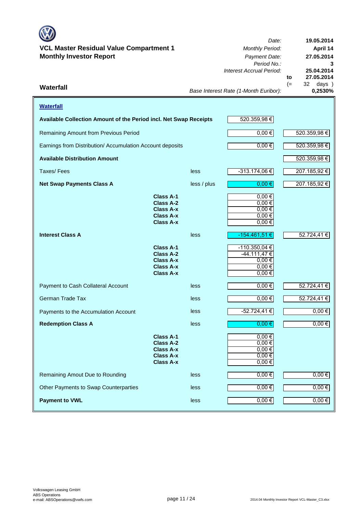#### **VCL Master Residual Value Compartment 1** *Monthly Period:* **Monthly Investor Report** *Payment Date:*

*Date: Period No.: Interest Accrual Period:* **to**  $(= 32 \text{ days})$ <br> $0.2530\%$ **27.05.2014 19.05.2014 April 14 27.05.2014 25.04.2014**

**3**

*Base Interest Rate (1-Month Euribor):* **Waterfall 0,2530%**

| <b>Waterfall</b>                                                  |                                                                                           |             |                                                                           |             |
|-------------------------------------------------------------------|-------------------------------------------------------------------------------------------|-------------|---------------------------------------------------------------------------|-------------|
| Available Collection Amount of the Period incl. Net Swap Receipts |                                                                                           |             | 520.359,98€                                                               |             |
| Remaining Amount from Previous Period                             |                                                                                           | $0,00$ €    | 520.359,98 €                                                              |             |
| Earnings from Distribution/ Accumulation Account deposits         |                                                                                           |             | $0,00 \in$                                                                | 520.359,98€ |
| <b>Available Distribution Amount</b>                              |                                                                                           |             |                                                                           | 520.359,98€ |
| Taxes/Fees                                                        |                                                                                           | less        | $-313.174,06 \in$                                                         | 207.185,92€ |
| <b>Net Swap Payments Class A</b>                                  |                                                                                           | less / plus | $0,00$ €                                                                  | 207.185,92€ |
|                                                                   | Class A-1<br>Class A-2<br><b>Class A-x</b><br><b>Class A-x</b><br><b>Class A-x</b>        |             | $0,00 \in$<br>$0,00 \in$<br>$0,00 \in$<br>$0,00 \in$<br>$0,00 \in$        |             |
| <b>Interest Class A</b>                                           |                                                                                           | less        | $-154.461,51 \in$                                                         | 52.724,41€  |
|                                                                   | Class A-1<br><b>Class A-2</b><br>Class A-x<br>Class A-x<br>Class A-x                      |             | $-110.350,04€$<br>$-44.111,47€$<br>$0,00 \in$<br>$0,00 \in$<br>$0,00 \in$ |             |
| Payment to Cash Collateral Account                                |                                                                                           | less        | 0,00€                                                                     | 52.724,41 € |
| <b>German Trade Tax</b>                                           |                                                                                           | less        | $0,00 \in$                                                                | 52.724,41€  |
| Payments to the Accumulation Account                              |                                                                                           | less        | $-52.724,41€$                                                             | $0,00$ €    |
| <b>Redemption Class A</b>                                         |                                                                                           | less        | 0,00€                                                                     | $0,00 \in$  |
|                                                                   | Class A-1<br><b>Class A-2</b><br><b>Class A-x</b><br><b>Class A-x</b><br><b>Class A-x</b> |             | $0,00 \in$<br>$0,00$ €<br>$0,00 \in$<br>$0,00 \in$<br>$0,00 \in$          |             |
| Remaining Amout Due to Rounding                                   |                                                                                           | less        | $0,00 \in$                                                                | $0,00 \in$  |
| Other Payments to Swap Counterparties                             |                                                                                           | less        | $0,00 \in$                                                                | $0,00 \in$  |
| <b>Payment to VWL</b>                                             |                                                                                           | less        | $0,00 \in$                                                                | $0,00 \in$  |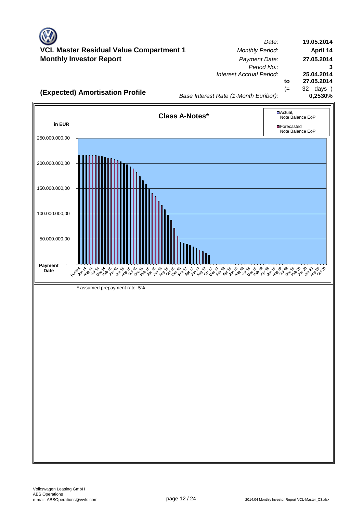*Date:* **Master Residual Value Compartment 1** *Monthly Period:* **Monthly Investor Report** *Payment Date: Period No.: Interest Accrual Period:* **to** (= 32 days ) *Base Interest Rate (1-Month Euribor):* **(Expected) Amortisation Profile**<br>0,2530% *Base Interest Rate (1-Month Euribor)* **19.05.2014 April 14 27.05.2014 3 25.04.2014 27.05.2014**

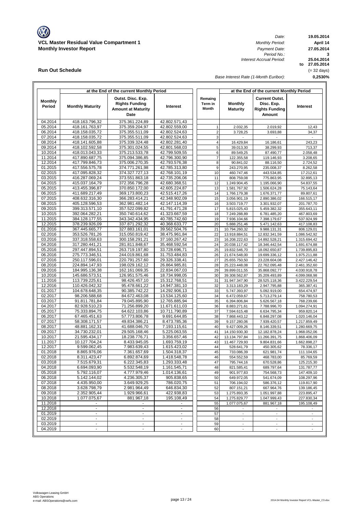

**Run Out Schedule**

*Date: Period No.: Interest Accrual Period:*

**19.05.2014 April 14 to 27.05.2014 25.04.2014 3 27.05.2014**

*Base Interest Rate (1-Month Euribor):*

**0,2530%** (= 32 days)

|                    |                                  | at the End of the current Monthly Period |                                |                         | at the End of the current Monthly Period |                                 |                              |  |  |
|--------------------|----------------------------------|------------------------------------------|--------------------------------|-------------------------|------------------------------------------|---------------------------------|------------------------------|--|--|
| <b>Monthly</b>     |                                  | Outst. Disc. Exp.                        |                                | Remaing                 |                                          | <b>Current Outst.</b>           |                              |  |  |
| Period             | <b>Monthly Maturity</b>          | <b>Rights Funding</b>                    | Interest                       | Term in<br><b>Month</b> | <b>Monthly</b>                           | Disc. Exp.                      | Interest                     |  |  |
|                    |                                  | <b>Amount at Maturity</b><br>Date        |                                |                         | <b>Maturity</b>                          | <b>Rights Funding</b><br>Amount |                              |  |  |
|                    |                                  |                                          |                                |                         |                                          |                                 |                              |  |  |
| 04.2014            | 418.163.796,32                   | 375.361.224,89                           | 42.802.571,43                  |                         |                                          |                                 |                              |  |  |
| 05.2014            | 418.161.763,97                   | 375.359.204,97                           | 42.802.559,00                  | 1                       | 2.032,35                                 | 2.019,92                        | 12,43                        |  |  |
| 06.2014            | 418.158.035,72                   | 375.355.511,09                           | 42.802.524,63                  | $\overline{2}$          | 3.728,25                                 | 3.693,88                        | 34,37                        |  |  |
| 07.2014            | 418.158.035,72                   | 375.355.511,09                           | 42.802.524,63                  | 3                       |                                          |                                 |                              |  |  |
| 08.2014            | 418.141.605,88                   | 375.339.324,48                           | 42.802.281,40                  | 4<br>5                  | 16.429,84                                | 16.186,61                       | 243,23                       |  |  |
| 09.2014<br>10.2014 | 418.102.592,58<br>418.013.043,33 | 375.301.024,55<br>375.213.533,78         | 42.801.568,03<br>42.799.509,55 | 6                       | 39.013,30<br>89.549,25                   | 38.299,93                       | 713,37                       |  |  |
| 11.2014            | 417.890.687,75                   | 375.094.386,85                           | 42.796.300.90                  | $\overline{7}$          | 122.355,58                               | 87.490,77<br>119.146,93         | 2.058,48<br>3.208,65         |  |  |
| 12.2014            | 417.799.846,73                   | 375.006.270,35                           | 42.793.576,38                  | 8                       | 90.841,02                                | 88.116,50                       | 2.724,52                     |  |  |
| 01.2015            | 417.556.575,78                   | 374.771.261,98                           | 42.785.313,80                  | 9                       | 243.270,95                               | 235.008,37                      | 8.262,58                     |  |  |
| 02.2015            | 417.095.828,32                   | 374.327.727,13                           | 42.768.101,19                  | 10                      | 460.747,46                               | 443.534,85                      | 17.212,61                    |  |  |
| 03.2015            | 416.287.069,24                   | 373.551.863,18                           | 42.735.206,06                  | 11                      | 808.759,08                               | 775.863,95                      | 32.895,13                    |  |  |
| 04.2015            | 415.037.164,79                   | 372.356.796,28                           | 42.680.368,51                  | 12                      | 1.249.904,45                             | 1.195.066,90                    | 54.837,55                    |  |  |
| 05.2015            | 413.455.396,87                   | 370.850.172,00                           | 42.605.224,87                  | 13                      | 1.581.767,92                             | 1.506.624,28                    | 75.143,64                    |  |  |
| 06.2015            | 411.689.217,49                   | 369.173.800,23                           | 42.515.417,26                  | 14                      | 1.766.179,38                             | 1.676.371,77                    | 89.807,61                    |  |  |
| 07.2015            | 408.632.316,30                   | 366.283.414,21                           | 42.348.902,09                  | 15                      | 3.056.901,19                             | 2.890.386,02                    | 166.515,17                   |  |  |
| 08.2015            | 405.128.596,53                   | 362.981.482,14                           | 42.147.114,39                  | 16                      | 3.503.719,77                             | 3.301.932,07                    | 201.787,70                   |  |  |
| 09.2015            | 399.313.571.10                   | 357.522.099,82                           | 41.791.471.28                  | 17                      | 5.815.025,43                             | 5.459.382,32                    | 355.643,11                   |  |  |
| 10.2015            | 392.064.282,21                   | 350.740.614,62                           | 41.323.667,59                  | 18                      | 7.249.288,89                             | 6.781.485,20                    | 467.803,69                   |  |  |
| 11.2015            | 384.128.177,55                   | 343.342.434,95                           | 40.785.742,60                  | 19                      | 7.936.104,66                             | 7.398.179,67                    | 537.924,99                   |  |  |
| 12.2015            | 378.239.926,09                   | 337.871.292,32                           | 40.368.633,77                  | 20                      | 5.888.251,46                             | 5.471.142,63                    | 417.108,83                   |  |  |
| 01.2016            | 367.445.665,77                   | 327.883.161,01                           | 39.562.504,76                  | 21                      | 10.794.260,32                            | 9.988.131,31                    | 806.129,01                   |  |  |
| 02.2016            | 353.526.781,26                   | 315.050.819.42                           | 38.475.961,84                  | 22                      | 13.918.884,51                            | 12.832.341,59                   | 1.086.542,92                 |  |  |
| 03.2016            | 337.318.558,63                   | 300.158.291,21                           | 37.160.267,42                  | 23                      | 16.208.222,63                            | 14.892.528,21                   | 1.315.694,42                 |  |  |
| 04.2016            | 317.280.441,21                   | 281.811.848,67                           | 35.468.592,54                  | 24                      | 20.038.117,42                            | 18.346.442,54                   | 1.691.674,88                 |  |  |
| 05.2016            | 297.447.894,51                   | 263.719.197,80                           | 33.728.696,71                  | 25                      | 19.832.546,70                            | 18.092.650,87                   | 1.739.895,83                 |  |  |
| 06.2016            | 275.773.346,51                   | 244.019.861,68                           | 31.753.484,83                  | 26                      | 21.674.548,00                            | 19.699.336,12                   | 1.975.211,88                 |  |  |
| 07.2016            | 250.117.596,01                   | 220.791.257,60                           | 29.326.338,41                  | 27                      | 25.655.750,50                            | 23.228.604,08                   | 2.427.146,42                 |  |  |
| 08.2016<br>09.2016 | 224.894.147,93<br>184.995.136,38 | 198.029.162,12<br>162.161.069,35         | 26.864.985,81<br>22.834.067,03 | 28<br>29                | 25.223.448,08                            | 22.762.095,48                   | 2.461.352,60                 |  |  |
| 10.2016            | 145.686.573,51                   | 126.951.575,46                           | 18.734.998,05                  | 30                      | 39.899.011,55<br>39.308.562,87           | 35.868.092,77<br>35.209.493,89  | 4.030.918,78<br>4.099.068,98 |  |  |
| 11.2016            | 113.739.225,61                   | 98.426.457,10                            | 15.312.768,51                  | 31                      | 31.947.347,90                            | 28.525.118,36                   | 3.422.229,54                 |  |  |
| 12.2016            | 110.426.042,32                   | 95.478.661,22                            | 14.947.381,10                  | 32                      | 3.313.183,29                             | 2.947.795,88                    | 365.387,41                   |  |  |
| 01.2017            | 104.678.648,35                   | 90.385.742,22                            | 14.292.906,13                  | 33                      | 5.747.393,97                             | 5.092.919,00                    | 654.474,97                   |  |  |
| 02.2017            | 98.206.588,68                    | 84.672.463,08                            | 13.534.125,60                  | 34                      | 6.472.059,67                             | 5.713.279,14                    | 758.780,53                   |  |  |
| 03.2017            | 91.811.781,84                    | 79.045.895,90                            | 12.765.885,94                  | 35                      | 6.394.806,84                             | 5.626.567,18                    | 768.239,66                   |  |  |
| 04.2017            | 82.928.510,23                    | 71.256.899,20                            | 11.671.611,03                  | 36                      | 8.883.271,61                             | 7.788.996,70                    | 1.094.274,91                 |  |  |
| 05.2017            | 75.333.894,75                    | 64.622.103,86                            | 10.711.790,89                  | 37                      | 7.594.615,48                             | 6.634.795,34                    | 959.820,14                   |  |  |
| 06.2017            | 67.465.451,63                    | 57.773.806,78                            | 9.691.644,85                   | 38                      | 7.868.443,12                             | 6.848.297,08                    | 1.020.146,04                 |  |  |
| 07.2017            | 58.308.171,57                    | 49.834.386,21                            | 8.473.785,36                   | 39                      | 9.157.280,06                             | 7.939.420,57                    | 1.217.859,49                 |  |  |
| 08.2017            | 48.881.162,31                    | 41.688.046,70                            | 7.193.115,61                   | 40                      | 9.427.009,26                             | 8.146.339,51                    | 1.280.669,75                 |  |  |
| 09.2017            | 34.730.232,01                    | 29.505.168,46                            | 5.225.063,55                   | 41                      | 14.150.930,30                            | 12.182.878,24                   | 1.968.052,06                 |  |  |
| 10.2017            | 21.595.434,17                    | 18.238.776,71                            | 3.356.657.46                   | 42                      | 13.134.797,84                            | 11.266.391,75                   | 1.868.406,09                 |  |  |
| 11.2017            | 10.127.704,24                    | 8.433.945,05                             | 1.693.759,19                   | 43                      | 11.467.729,93                            | 9.804.831,66                    | 1.662.898,27                 |  |  |
| 12.2017            | 9.599.062,45                     | 7.983.639,43                             | 1.615.423,02                   | 44                      | 528.641,79                               | 450.305,62                      | 78.336,17                    |  |  |
| 01.2018            | 8.865.976,06                     | 7.361.657,69                             | 1.504.318,37                   | 45                      | 733.086,39                               | 621.981,74                      | 111.104,65                   |  |  |
| 02.2018<br>03.2018 | 8.311.423,47                     | 6.892.874,69<br>6.222.345.83             | 1.418.548,78<br>1.293.333,48   | 46<br>47                | 554.552,59<br>795.744,16                 | 468.783,00                      | 85.769,59                    |  |  |
| 04.2018            | 7.515.679,31<br>6.694.093,90     | 5.532.548,19                             | 1.161.545,71                   | 48                      | 821.585,41                               | 670.528,86<br>689.797,64        | 125.215,30<br>131.787,77     |  |  |
| 05.2018            | 5.792.116,07                     | 4.777.979,46                             | 1.014.136,61                   | 49                      | 901.977,83                               | 754.568,73                      | 147.409,10                   |  |  |
| 06.2018            | 5.142.144,02                     | 4.236.305,37                             | 905.838,65                     | 50                      | 649.972,05                               | 541.674,09                      | 108.297,96                   |  |  |
| 07.2018            | 4.435.950,00                     | 3.649.929,25                             | 786.020,75                     | 51                      | 706.194,02                               | 586.376,12                      | 119.817,90                   |  |  |
| 08.2018            | 3.628.798,79                     | 2.981.964,49                             | 646.834,30                     | 52                      | 807.151,21                               | 667.964,76                      | 139.186,45                   |  |  |
| 09.2018            | 2.352.905,44                     | 1.929.966,61                             | 422.938,83                     | 53                      | 1.275.893,35                             | 1.051.997,88                    | 223.895,47                   |  |  |
| 10.2018            | 1.077.075,67                     | 881.967,18                               | 195.108,49                     | 54                      | 1.275.829,77                             | 1.047.999,43                    | 227.830,34                   |  |  |
| 11.2018            |                                  |                                          |                                | 55                      | 1.077.075,67                             | 881.967,18                      | 195.108,49                   |  |  |
| 12.2018            | $\omega$                         | $\mathbf{r}$                             | $\blacksquare$                 | 56                      |                                          |                                 |                              |  |  |
| 01.2019            | $\blacksquare$                   | $\blacksquare$                           | $\blacksquare$                 | 57                      | $\overline{\phantom{a}}$                 | $\overline{\phantom{a}}$        |                              |  |  |
| 02.2019            | ٠                                | $\blacksquare$                           | ٠                              | 58                      | $\blacksquare$                           | $\overline{\phantom{a}}$        |                              |  |  |
| 03.2019            | $\blacksquare$                   | $\blacksquare$                           | $\omega_{\rm c}$               | 59                      | $\blacksquare$                           | $\sim$                          | $\overline{\phantom{a}}$     |  |  |
| 04.2019            | ۰                                | ۰                                        |                                | 60                      |                                          | $\overline{\phantom{a}}$        |                              |  |  |
|                    |                                  |                                          |                                |                         |                                          |                                 |                              |  |  |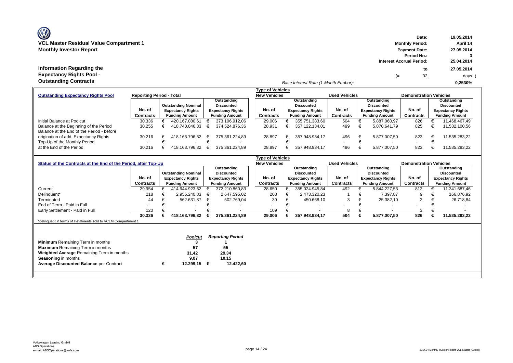## **Information Regarding the Expectancy Rights Pool Outstanding Contracts**

| Information Regarding the<br><b>Expectancy Rights Pool -</b> |                                 |                            |                          |                     |                                       |                      | $=$                      | to<br>32                      | 27.05.2014<br>days       |
|--------------------------------------------------------------|---------------------------------|----------------------------|--------------------------|---------------------|---------------------------------------|----------------------|--------------------------|-------------------------------|--------------------------|
| <b>Outstanding Contracts</b>                                 |                                 |                            |                          |                     | Base Interest Rate (1-Month Euribor): |                      |                          |                               | 0.2530%                  |
|                                                              |                                 |                            |                          | Tvpe of Vehicles    |                                       |                      |                          |                               |                          |
| <b>Outstanding Expectancy Rights Pool</b>                    | <b>Reporting Period - Total</b> |                            |                          | <b>New Vehicles</b> |                                       | <b>Used Vehicles</b> |                          | <b>Demonstration Vehicles</b> |                          |
|                                                              |                                 |                            | Outstanding              |                     | Outstanding                           |                      | Outstanding              |                               | Outstanding              |
|                                                              |                                 | <b>Outstanding Nominal</b> | <b>Discounted</b>        |                     | Discounted                            |                      | <b>Discounted</b>        |                               | <b>Discounted</b>        |
|                                                              | No. of                          | <b>Expectancy Rights</b>   | <b>Expectancy Rights</b> | No. of              | <b>Expectancy Rights</b>              | No. of               | <b>Expectancy Rights</b> | No. of                        | <b>Expectancy Rights</b> |
|                                                              | Contracts                       | <b>Funding Amount</b>      | <b>Funding Amount</b>    | Contracts           | <b>Funding Amount</b>                 | <b>Contracts</b>     | <b>Funding Amount</b>    | Contracts                     | <b>Funding Amount</b>    |
| Initial Balance at Poolcut                                   | 30.336                          | 420.167.080.61             | 373.106.912.06           | 29.006              | 355.751.383.60                        | 504                  | 5.887.060.97             | 826                           | 11.468.467.49            |
| Balance at the Beginning of the Period                       | 30.255                          | 418.740.046.33             | 374.524.876.36           | 28.931              | 357.122.134.01                        | 499                  | 5.870.641.79             | 825                           | 11.532.100.56            |
| Balance at the End of the Period - before                    |                                 |                            |                          |                     |                                       |                      |                          |                               |                          |
| origination of add. Expectancy Rights                        | 30.216                          | 418.163.796.32             | 375.361.224.89           | 28.897              | 357.948.934.17                        | 496                  | 5.877.007.50             | 823                           | 11.535.283.22            |

|                                                                | 30.336    | 418.163.796.32             |   | 375.361.224.89           | 29.006                                         | 357.948.934,17           | 504                  | 5.877.007.50             | 826                           |   | 11.535.283,22            |
|----------------------------------------------------------------|-----------|----------------------------|---|--------------------------|------------------------------------------------|--------------------------|----------------------|--------------------------|-------------------------------|---|--------------------------|
| Early Settlement - Paid in Full                                | 120       | $\overline{\phantom{a}}$   |   |                          | 109                                            |                          |                      |                          |                               |   |                          |
| End of Term - Paid in Full                                     |           |                            |   |                          |                                                |                          |                      |                          |                               |   |                          |
| Terminated                                                     | 44        | 562.631.87                 | € | 502.769.04               | 39                                             | 450.668.10               | 3                    | 25.382.10                | 2                             |   | 26.718.84                |
| Delinguent*                                                    | 218       | 2.956.240.83               | € | 2.647.595.02             | 208                                            | 2.473.320.23             |                      | 7.397.87                 | 9                             |   | 166.876.92               |
| Current                                                        | 29.954    | 414.644.923.62             |   | 372.210.860,83           | 28.650                                         | 355.024.945.84           | 492                  | 5.844.227.53             | 812                           |   | 11.341.687,46            |
|                                                                | Contracts | <b>Funding Amount</b>      |   | <b>Funding Amount</b>    | <b>Contracts</b>                               | <b>Funding Amount</b>    | <b>Contracts</b>     | <b>Funding Amount</b>    | Contracts                     |   | <b>Funding Amount</b>    |
|                                                                | No. of    | <b>Expectancy Rights</b>   |   | <b>Expectancy Rights</b> | No. of                                         | <b>Expectancy Rights</b> | No. of               | <b>Expectancy Rights</b> | No. of                        |   | <b>Expectancy Rights</b> |
|                                                                |           | <b>Outstanding Nominal</b> |   | <b>Discounted</b>        |                                                | <b>Discounted</b>        |                      | <b>Discounted</b>        |                               |   | <b>Discounted</b>        |
|                                                                |           |                            |   | Outstanding              |                                                | Outstanding              |                      | Outstanding              |                               |   | Outstanding              |
| Status of the Contracts at the End of the Period, after Top-Up |           |                            |   |                          | <b>Type of Vehicles</b><br><b>New Vehicles</b> |                          | <b>Used Vehicles</b> |                          | <b>Demonstration Vehicles</b> |   |                          |
|                                                                |           |                            |   |                          |                                                |                          |                      |                          |                               |   |                          |
| Top-Up of the Monthly Period<br>at the End of the Period       | 30.216    | 418.163.796.32             |   | 375.361.224.89           | 28.897                                         | 357.948.934.17           | 496                  | 5.877.007.50             | 823                           |   | 11.535.283.22            |
| origination of add. Expectancy Rights                          | 30.216    | 418.163.796.32             | € | 375.361.224.89           | 28.897                                         | 357.948.934.17           | 496                  | 5.877.007.50             | 823                           | € | 11.535.283.22            |
| Balance at the End of the Period - before                      |           |                            |   |                          |                                                |                          |                      |                          |                               |   |                          |

\*delinquent in terms of Instalments sold to VCLM Compartment 1

|                                                |   | <b>Poolcut</b> | <b>Reporting Period</b> |
|------------------------------------------------|---|----------------|-------------------------|
| <b>Minimum</b> Remaining Term in months        |   |                |                         |
| <b>Maximum</b> Remaining Term in months        |   | 57             | 55                      |
| Weighted Average Remaining Term in months      |   | 31.42          | 29.34                   |
| <b>Seasoning in months</b>                     |   | 9.07           | 10.15                   |
| <b>Average Discounted Balance per Contract</b> | € | 12.299.15 €    | 12.422.60               |
|                                                |   |                |                         |

**Date: 19.05.2014**

**Period No.: 3**

**Interest Accrual Period:**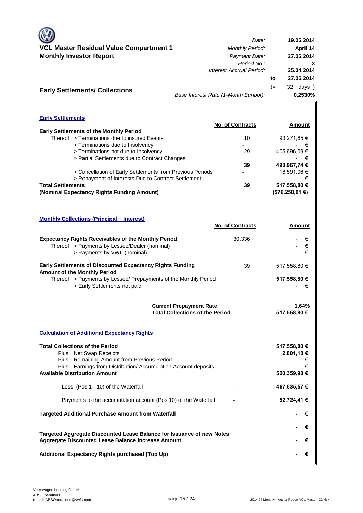| <b>VCL Master Residual Value Compartment 1</b><br><b>Monthly Investor Report</b><br><b>Early Settlements/ Collections</b>                                                                                                   | Date:<br><b>Monthly Period:</b><br>Payment Date:<br>Period No.:<br>Interest Accrual Period:<br>Base Interest Rate (1-Month Euribor): | 19.05.2014<br>April 14<br>27.05.2014<br>3<br>25.04.2014<br>27.05.2014<br>to<br>32 days )<br>$(=$<br>0,2530% |
|-----------------------------------------------------------------------------------------------------------------------------------------------------------------------------------------------------------------------------|--------------------------------------------------------------------------------------------------------------------------------------|-------------------------------------------------------------------------------------------------------------|
| <b>Early Settlements</b>                                                                                                                                                                                                    |                                                                                                                                      |                                                                                                             |
| <b>Early Settlements of the Monthly Period</b>                                                                                                                                                                              | No. of Contracts                                                                                                                     | Amount                                                                                                      |
| Thereof > Terminations due to insured Events                                                                                                                                                                                | 10                                                                                                                                   | 93.271,65 €                                                                                                 |
| > Terminations due to Insolvency<br>> Terminations not due to Insolvency<br>> Partial Settlements due to Contract Changes                                                                                                   | 29                                                                                                                                   | €<br>405.696,09€<br>€                                                                                       |
|                                                                                                                                                                                                                             | 39                                                                                                                                   | 498.967,74€                                                                                                 |
| > Cancellation of Early Settlements from Previous Periods<br>> Repayment of Interests Due to Contract Settlement                                                                                                            |                                                                                                                                      | 18.591,06 €<br>€                                                                                            |
| <b>Total Settlements</b><br>(Nominal Expectancy Rights Funding Amount)                                                                                                                                                      | 39                                                                                                                                   | 517.558,80 €<br>(576.250, 01€)                                                                              |
| <b>Monthly Collections (Principal + Interest)</b>                                                                                                                                                                           | No. of Contracts                                                                                                                     | Amount                                                                                                      |
| <b>Expectancy Rights Receivables of the Monthly Period</b><br>Thereof > Payments by Lessee/Dealer (nominal)<br>> Payments by VWL (nominal)                                                                                  | 30.336                                                                                                                               | €<br>€<br>€                                                                                                 |
| <b>Early Settlements of Discounted Expectancy Rights Funding</b><br><b>Amount of the Monthly Period</b><br>Thereof > Payments by Lessee/ Prepayments of the Monthly Period<br>> Early Settlements not paid                  | 39                                                                                                                                   | 517.558,80 €<br>517.558,80 €<br>€                                                                           |
|                                                                                                                                                                                                                             | <b>Current Prepayment Rate</b><br><b>Total Collections of the Period</b>                                                             | 1,64%<br>517.558,80 €                                                                                       |
| <b>Calculation of Additional Expectancy Rights</b>                                                                                                                                                                          |                                                                                                                                      |                                                                                                             |
| <b>Total Collections of the Period</b><br>Plus: Net Swap Receipts<br>Plus: Remaining Amount from Previous Period<br>Plus: Earnings from Distribution/ Accumulation Account deposits<br><b>Available Distribution Amount</b> |                                                                                                                                      | 517.558,80 €<br>2.801,18€<br>€<br>€<br>520.359,98 €                                                         |
| Less: (Pos 1 - 10) of the Waterfall                                                                                                                                                                                         |                                                                                                                                      | 467.635,57 €                                                                                                |
| Payments to the accumulation account (Pos.10) of the Waterfall                                                                                                                                                              |                                                                                                                                      | 52.724,41 €                                                                                                 |
| <b>Targeted Additional Purchase Amount from Waterfall</b>                                                                                                                                                                   |                                                                                                                                      | €                                                                                                           |
|                                                                                                                                                                                                                             |                                                                                                                                      | €                                                                                                           |
| Targeted Aggregate Discounted Lease Balance for Issuance of new Notes<br>Aggregate Discounted Lease Balance Increase Amount                                                                                                 |                                                                                                                                      | €                                                                                                           |
| Additional Expectancy Rights purchased (Top Up)                                                                                                                                                                             |                                                                                                                                      | €                                                                                                           |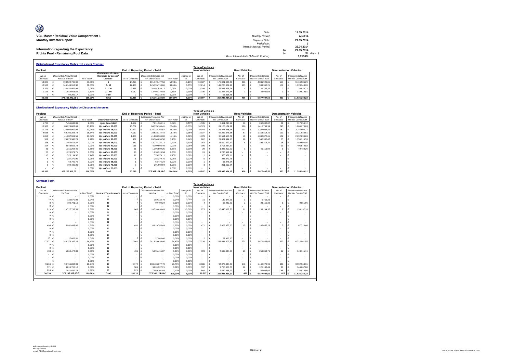| O<br>VCL Master Residual Value Compartment 1                 | Date:<br>Monthly Period:                |    | 19.05.2014<br>April 14 |
|--------------------------------------------------------------|-----------------------------------------|----|------------------------|
| <b>Monthly Investor Report</b>                               | Payment Date:                           |    | 27.05.2014             |
|                                                              | Period No.:<br>Interest Accrual Period: |    | 25.04.2014             |
| Information regarding the Expectancy                         |                                         | to | 27.05.2014             |
| <b>Rights Pool - Remaining Pool Data</b>                     | Base Interest Rate (1-Month Euribor):   | ′= | 32 days 1<br>0.2530%   |
| <b>Distribution of Expectancy Rights by Lessee/ Contract</b> |                                         |    |                        |

|                     |                                          |            |                                                                  |                  |                                                 |            |           | <b>Type of Vehicles</b> |                                                 |                      |                                                 |                               |                                                 |
|---------------------|------------------------------------------|------------|------------------------------------------------------------------|------------------|-------------------------------------------------|------------|-----------|-------------------------|-------------------------------------------------|----------------------|-------------------------------------------------|-------------------------------|-------------------------------------------------|
| Poolcut             |                                          |            |                                                                  |                  | <b>End of Reporting Period - Total</b>          |            |           | <b>New Vehicles</b>     |                                                 | <b>Used Vehicles</b> |                                                 | <b>Demonstration Vehicles</b> |                                                 |
| No. of<br>Contracts | Discounted Amounts Not<br>Yet Due in EUR | % of Total | <b>Distribution of Lease</b><br>Contracts by Lessee/<br>Contract | No. of Contracts | <b>Discounted Balance Not</b><br>Yet Due in EUR | % of Total | change in | No. of<br>Contracts     | <b>Discounted Balance Not</b><br>Yet Due in EUR | No. of<br>Contracts  | <b>Discounted Balance</b><br>Not Yet Due in EUR | No. of<br>Contracts           | <b>Discounted Balance</b><br>Not Yet Due in EUR |
| 14.328              | 190.522.738.98                           | 51.06%     |                                                                  | 14.226           | 191.170.477.58                                  | 50.93%     | $-0.13%$  | 13.187                  | 176.921.964.43                                  | 386                  | 4.831.926.86                                    | 653                           | 9.416.586.29                                    |
| 12.507              | 144, 149, 317, 38                        | 38.63%     | $2 - 10$                                                         | 12.476           | 145.195.718.86                                  | 38.68%     | 0.05%     | 12.214                  | 142.228.004.41                                  | 103                  | 989.366.25                                      | 159                           | 1.978.348.20                                    |
| 2.371               | 26,420,959.98                            | 7.08%      | $11 - 20$                                                        | 2.355            | 26.491.539.12                                   | 7.06%      | $-0.02%$  | 2.349                   | 26,448,975.04                                   |                      | 21,733.36                                       |                               | 20,830.72                                       |
| 1.123               | 11.919.603.55                            | 3.19%      | $21 - 50$                                                        | 1.152            | 12.408.170.88                                   | 3.31%      | 0.11%     | 1.140                   | 12.254.671.84                                   |                      | 33,981.03                                       | $\Omega$                      | 119,518.01                                      |
|                     | 94.292.17                                | 0.03%      | > 50                                                             |                  | 95.318.45                                       | 0.03%      | 0.00%     |                         | 95.318.45                                       |                      |                                                 |                               |                                                 |
| 30,336              | 373.106.912.06€                          | 100,00%    | Total                                                            | 30.216           | 375.361.224.89                                  | 100.00%    | 0.00%     | 28,897                  | 357.948.934.17                                  | 496                  | 5,877,007.50                                    | 823                           | 11.535.283.22                                   |
|                     |                                          |            |                                                                  |                  |                                                 |            |           |                         |                                                 |                      |                                                 |                               |                                                 |

#### **Distribution of Expectancy Rights by Discounted Amounts**

|           | <b>Distribution of Expectancy Rights by Discounted Amounts</b> |                |            |                          |                                        |                               |            |           |                         |                               |                      |                           |                               |                           |
|-----------|----------------------------------------------------------------|----------------|------------|--------------------------|----------------------------------------|-------------------------------|------------|-----------|-------------------------|-------------------------------|----------------------|---------------------------|-------------------------------|---------------------------|
|           |                                                                |                |            |                          |                                        |                               |            |           | <b>Type of Vehicles</b> |                               |                      |                           |                               |                           |
| Poolcut   |                                                                |                |            |                          | <b>End of Reporting Period - Total</b> |                               |            |           | <b>New Vehicles</b>     |                               | <b>Used Vehicles</b> |                           | <b>Demonstration Vehicles</b> |                           |
| No. of    | <b>Discounted Amounts Not</b>                                  |                |            |                          |                                        | <b>Discounted Amounts Not</b> |            | change in | No of                   | <b>Discounted Balance Not</b> | No of                | <b>Discounted Balance</b> | No. of                        | <b>Discounted Balance</b> |
| Contracts | Yet Due in EUR                                                 |                | % of Total | <b>Discounted Amount</b> | No. of Contracts                       | Yet Due in EUR                | % of Total |           | Contracts               | Yet Due in EUR                | Contracts            | Not Yet Due in EUR        | Contracts                     | Not Yet Due in EUR        |
| 1.788     |                                                                | 7.456.043.89   | 2.00%      | Up to Euro 5,000         | 1.682                                  | 7.011.364.11                  | 1.87%      | $-0.13%$  | 1.535                   | 6.451.296.12                  | 66                   | 242.808.87                | 81                            | 317.259.12                |
| 10.983    |                                                                | 86.229.882.69  | 23.11%     | Up to Euro 10,000        | 10.752                                 | 84.376.164.41                 | 22.48%     | $-0.63%$  | 10.323                  | 81.100.134.39                 | 186                  | 1.415.759.99              | 243                           | .860.270.03               |
| 10.175    |                                                                | 124.003.969.93 | 33.24%     | Up to Euro 15,000        | 10.227                                 | 124.732.365.57                | 33.23%     | $-0.01%$  | 9.944                   | 121.278.335.94                | 101                  | 1.207.034.86              | 182                           | 2.246.994.77              |
| 4.038     |                                                                | 69.192.393.74  | 18.54%     | Up to Euro 20,000        | 4.117                                  | 70.538.174.44                 | 18.79%     | 0.25%     | 3.927                   | 67.262.376.38                 | 67                   | 1.153.814.45              | 123                           | 2.121.983.61              |
| 1.853     |                                                                | 41.287.969.51  | 11.07%     | Up to Euro 25,000        | 1.880                                  | 41.888.369.00                 | 11.16%     | 0.09%     | 729                     | 38.514.658.72                 | 49                   | 1.080.870.65              | 102                           | 2.292.839.63              |
| 962       |                                                                | 26.070.348.29  | 6.99%      | Up to Euro 30,000        | 987                                    | 26,764,696.50                 | 7.13%      | 0.14%     | 902                     | 24.464.994.50                 | 20                   | 540.386.47                | 65                            | .759.315.53               |
| 358       |                                                                | 11.466.616.47  | 3.07%      | Up to Euro 35,000        | 383                                    | 12.275.235.14                 | 3.27%      | 0.20%     | 362                     | 11.590.422.47                 |                      | 195.216.22                | 15                            | 489.596.45                |
| 104       |                                                                | 3.843.656.78   | 1.03%      | Up to Euro 40,000        | 111                                    | 4.109.998.49                  | 1.09%      | 0.06%     | 100                     | 3,703,457.67                  |                      |                           | 41                            | 406,540.82                |
| 31        |                                                                | 1.311.268.45   | 0.35%      | Up to Euro 45,000        | 31                                     | 1.306.599.25                  | 0.35%      | 0.00%     | 29                      | 1.225.000.00                  |                      | 41.115.99                 |                               | 40.483.26                 |
| 26        |                                                                | 1.228.971.71   | 0.33%      | Up to Euro 50,000        | 26                                     | 1.230.919.94                  | 0.33%      | 0.00%     | 26                      | 1.230.919.94                  |                      |                           |                               |                           |
|           |                                                                | 526.194.56     | 0.14%      | Up to Euro 55,000        |                                        | 576.979.11                    | 0.15%      | 0.01%     |                         | 576.979.11                    |                      |                           |                               |                           |
|           |                                                                | 227,370.99     | 0.06%      | Up to Euro 60,000        |                                        | 285.279.75                    | 0.08%      | 0.02%     |                         | 285.279.75                    |                      |                           |                               |                           |
|           |                                                                | 62,792.79      | 0.02%      | Up to Euro 65,000        |                                        | 63.476.24                     | 0.02%      | 0.00%     |                         | 63.476.24                     |                      |                           |                               |                           |
|           |                                                                | 199.432.26     | 0.05%      | Up to Euro 70,000        |                                        | 201.602.94                    | 0.05%      | 0.00%     |                         | 201.602.94                    |                      |                           |                               |                           |
|           |                                                                |                | 0.00%      | Up to Euro 75,000        |                                        |                               | 0.00%      | 0.00%     |                         |                               |                      |                           |                               |                           |
| 30,336    |                                                                | 373,106,912.06 | 100.00%    | <b>Total</b>             | 30.216                                 | 375.361.224.89 €              | 100.00%    | 0.00%     | 28,897                  | 357,948,934.17                | 496                  | 5.877.007.50              | 823                           | 11.535.283.22             |

| <b>Contract Term</b> |                               |               |                               |                  |                                        |               |           |                          |            |                               |                          |                            |              |                               |
|----------------------|-------------------------------|---------------|-------------------------------|------------------|----------------------------------------|---------------|-----------|--------------------------|------------|-------------------------------|--------------------------|----------------------------|--------------|-------------------------------|
|                      |                               |               |                               |                  |                                        |               |           | <b>Type of Vehicles</b>  |            |                               |                          |                            |              |                               |
| Poolcut              |                               |               |                               |                  | <b>End of Reporting Period - Total</b> |               |           | <b>New Vehicles</b>      |            |                               | <b>Used Vehicles</b>     |                            |              | <b>Demonstration Vehicles</b> |
| No. of               | <b>Discounted Amounts Not</b> |               |                               |                  | <b>Discounted Amounts Not</b>          |               | change in | No. of                   |            | <b>Discounted Balance Not</b> | No. of                   | Discounted Balance         | No. of       | <b>Discounted Balance</b>     |
| Contracts            | Yet Due                       | in % of Total | <b>Contract Term in Month</b> | No. of Contracts | Yet Due                                | in % of Total | %         | Contracts                |            | Yet Due in EUR                | Contracts                | Not Yet Due in EUR         | Contracts    | Not Yet Due in EUR            |
| $0 \in$              | $\sim$                        | 0.00%         | я                             |                  | ¢<br>$\sim$                            | 0.00%         | 0.00%     | $\overline{\phantom{a}}$ | €          | $\sim$                        | ٠                        | $\epsilon$<br>$\sim$       | $\sim$       | c                             |
| 16                   | 130,670.98<br>$\epsilon$      | 0.04%         | 12                            | 17               | ¢<br>159.132.79                        | 0.04%         | 0.01%     | 16                       |            | 149.377.53                    |                          | 9.755.26                   |              |                               |
|                      | 100.791,16<br>$\epsilon$      | 0.03%         | 18                            |                  | 99.490.24<br>¢                         | 0.03%         | 0.00%     |                          |            | 66,482.90                     | $\overline{2}$           | €<br>23.155.38             |              | ¢<br>9,851.96                 |
|                      |                               | 0.00%         | 22                            |                  | ¢<br>$\overline{\phantom{a}}$          | 0.00%         | 0.00%     | $\overline{\phantom{a}}$ | €          |                               | $\overline{\phantom{a}}$ | $\epsilon$<br>$\sim$       |              | ¢                             |
| 913                  | 10,727,792.59<br>€            | 2.88%         | 24                            | 905              | ¢<br>10.739.030.43                     | 2.86%         | $-0.01%$  | 875                      | €          | 10.440.628.73                 | 21                       | €<br>159,204.37            | $\mathbf{Q}$ | €<br>139,197,33               |
|                      |                               | 0.00%         | 26                            |                  | $\sim$                                 | 0.00%         | 0.00%     | $\overline{\phantom{a}}$ |            |                               | $\tilde{\phantom{a}}$    |                            | $\sim$       |                               |
|                      |                               | 0.00%         | 27                            | <b>.</b>         | $\overline{\phantom{a}}$               | 0,00%         | 0.00%     | ٠                        |            | $\sim$                        | $\sim$                   | $\sim$                     | $\sim$       |                               |
|                      |                               | 0.00%         | 28                            |                  | ٠                                      | 0.00%         | 0.00%     | ٠                        |            | $\sim$                        | ٠                        | $\overline{\phantom{a}}$   |              | $\sim$                        |
|                      | €                             | 0.00%         | 29                            |                  | $\overline{\phantom{a}}$               | 0.00%         | 0.00%     | $\overline{\phantom{a}}$ | €          |                               | $\overline{\phantom{a}}$ |                            |              | €                             |
| 494                  | 5.991.499.82<br>€             | 1.61%         | 30                            | 491              | 6.019.745.69                           | 1.60%         | 0.00%     | 471                      |            | 5,809,373.00                  | 15                       | €<br>142,656.23            | 5            | 67.716.46                     |
|                      |                               | 0.00%         | 33                            |                  | $\overline{\phantom{a}}$               | 0.00%         | 0.00%     | $\overline{\phantom{a}}$ |            | $\sim$                        | $\overline{\phantom{a}}$ |                            | $\sim$       |                               |
|                      |                               | 0.00%         | 32                            |                  | $\overline{\phantom{a}}$               | 0.00%         | 0.00%     | ٠                        |            | $\sim$                        | ٠                        |                            |              |                               |
|                      |                               | 0.00%         | 34                            |                  | $\overline{\phantom{a}}$               | 0.00%         | 0.00%     | $\overline{\phantom{a}}$ | €          |                               | $\overline{\phantom{a}}$ | $\sim$                     | $\sim$       | ¢                             |
| $\overline{2}$       | 27.662.51<br>¢                | 0.01%         | 35                            |                  | ¢<br>27,963.60                         | 0.01%         | 0.00%     | $\overline{2}$           |            | 27,963.60                     | $\tilde{\phantom{a}}$    |                            | $\sim$       | €                             |
| 17.971               | €<br>240.373.392.28           | 64.42%        | 36                            | 17.90            | 241.829.639.40                         | 64.43%        | 0.00%     | 17,238                   | $\epsilon$ | 231.444.809.82                | 271                      | €<br>3.671.868.03          | 392          | €<br>6.712.961,55             |
|                      |                               | 0.00%         | 38                            |                  | F<br>$\sim$                            | 0.00%         | 0.00%     | ٠                        |            |                               | $\overline{\phantom{a}}$ |                            | $\sim$       | c                             |
|                      |                               | 0.00%         | 39                            |                  | F                                      | 0.00%         | 0.00%     | ÷                        |            |                               | $\overline{\phantom{a}}$ |                            |              | ¢                             |
| 433                  | 5.060.474.83<br>€             | 1.36%         | 42                            | 431              | 5.095.415.87<br>c                      | 1.36%         | 0.00%     | 399                      | €          | 4.692.437.05                  | 20                       | €<br>259,863.71            | 12           | €<br>143.115.11               |
|                      |                               | 0.00%         | 45                            |                  | F<br>$\overline{\phantom{a}}$          | 0.00%         | 0.00%     | $\overline{\phantom{a}}$ |            |                               | $\overline{\phantom{a}}$ |                            | $\sim$       |                               |
|                      |                               | 0.00%         | 46                            |                  |                                        | 0,00%         | 0.00%     | ٠                        |            |                               | $\overline{\phantom{a}}$ |                            | $\sim$       |                               |
|                      |                               | 0.00%         | 47                            |                  |                                        | 0.00%         | 0.00%     | ÷                        |            |                               | $\overline{\phantom{a}}$ |                            | $\sim$       | c                             |
| 9.204                | 99.766.834.93<br>€            | 26.74%        | 48                            | 9.172            | ¢<br>100.406.677.78                    | 26.75%        | 0.01%     | 8,686                    | €          | 94.973.437.48                 | 148                      | $\epsilon$<br>1.440.276.99 | 338          | ¢<br>3.992.963.31             |
| 37'                  | 3.016.760.18                  | 0.81%         | 54                            | 369              | ¢<br>3.024.927.21                      | 0.81%         | 0.00%     | 337                      |            | 2,755,067.77                  | 12                       | 125, 192, 44               | 20           | ¢<br>144,667.00               |
| 924                  | 7.911.032.78                  | 2,12%         | 60                            | 921              | 7.959.201.88                           | 2.12%         | 0.00%     | 869                      |            | 7.589.356.29                  | 6                        | 45.035.09                  | 46           | 324,810.50                    |
| 30,336               | 373.106.912.06 €              | 100,00%       | Total                         | 30.216           | 375.361.224.89                         | 100.00%       | 0.00%     | 28,897                   |            | 357.948.934.17                | 496                      | 5.877.007.50               | 823          | 11.535.283.22                 |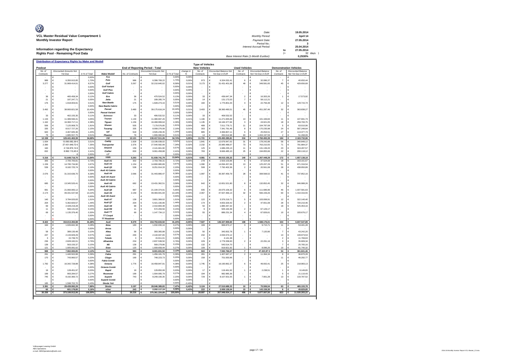| O<br>VCL Master Residual Value Compartment 1                           | Date:<br>Monthly Period:                                 |     | 19.05.2014<br>April 14                 |
|------------------------------------------------------------------------|----------------------------------------------------------|-----|----------------------------------------|
| <b>Monthly Investor Report</b><br>Information regarding the Expectancy | Payment Date:<br>Period No.:<br>Interest Accrual Period: | to  | 27.05.2014<br>25.04.2014<br>27.05.2014 |
| <b>Rights Pool - Remaining Pool Data</b>                               | Base Interest Rate (1-Month Euribor):                    | $=$ | 32 days )<br>0.2530%                   |
| Distribution of Expectancy Rights by Make and Modell                   | <b>Type of Vehicles</b>                                  |     |                                        |

| Poolcut     |                                  |                        |                                      |                  | <b>End of Reporting Period - Total</b> |                       |           | <b>Type or venicles</b><br><b>New Vehicles</b> |            |                               | <b>Used Vehicles</b> |                           |                         | <b>Demonstration Vehicles</b> |
|-------------|----------------------------------|------------------------|--------------------------------------|------------------|----------------------------------------|-----------------------|-----------|------------------------------------------------|------------|-------------------------------|----------------------|---------------------------|-------------------------|-------------------------------|
| No. of      | <b>Discounted Amounts Not</b>    |                        |                                      |                  | <b>Discounted Amounts Not</b>          |                       | change in | No. of                                         |            | <b>Discounted Balance Not</b> | No. of               | <b>Discounted Balance</b> | No. of                  | <b>Discounted Balance</b>     |
| Contracts   | Yet Due<br>¢                     | in % of Total<br>0,00% | <b>Make/Modell</b><br>Fox            | No. of Contracts | Yet Due                                | in % of Tota<br>0,00% | 0,00%     | Contracts                                      | €          | Yet Due in EUR                | Contracts            | Not Yet Due in EUR        | Contracts               | Not Yet Due in EUR<br>G       |
| 989         | €<br>6.350.915.85                | 1.70%                  | Polo                                 | 986              | 6.396.769.22<br>c                      | 1.70%                 | 0.00%     | 973                                            | €          | 6.324.032.41                  | 6                    | €<br>32.086.37            | $\overline{7}$          | 40,650.44<br>€                |
| 3.277       | ¢                                | 8,57%                  | Golf                                 | 3.267            | ¢                                      | 8.58%                 | 0,01%     | 3.173                                          | €          |                               | 49                   | €                         | 45                      | 429.656,69<br>€               |
|             | 31.969.414,01<br>€               | 0.00%                  | <b>Golf Variant</b>                  |                  | 32.210.640,02<br>c                     | 0,00%                 | 0.00%     |                                                | €          | 31.431.401,68                 |                      | 349.581,65<br>€           |                         | €                             |
|             | €                                | 0,00%                  | <b>Golf Plus</b>                     |                  | €                                      | 0,00%                 | 0,009     | $\overline{a}$                                 | €          |                               |                      | €                         |                         | €                             |
|             | €                                | 0,00%                  | <b>Golf Cabrid</b>                   |                  | ¢                                      | 0,00%                 | 0,00%     |                                                | €          |                               |                      | €                         |                         | ¢                             |
| 36          | €<br>465.458,34                  | 0,12%                  | Eos                                  | 36               | 470.524,52<br>€                        | 0,13%                 | 0,00%     | 33                                             | €          | 436.647,34                    | $\overline{2}$       | 16.303,26<br>€            |                         | 17.573,92<br>€                |
| 21          | €<br>187.247,71                  | 0.05%                  | Jetta                                | 21               | €<br>189,285.74                        | 0,05%                 | 0.00%     | 14                                             | €          | 131.173.53                    | $\overline{7}$       | €<br>58.112.21            |                         | €                             |
| 176         | €<br>1.918.003,91                | 0,51%                  | <b>New Beetle</b>                    | 175              | €<br>1.928.273,16                      | 0,51%                 | 0,00%     | 160                                            | €          | 1.775.801,03                  | 3                    | €<br>22.756,39            | 12                      | €<br>129.715,74               |
|             | ¢                                | 0,00%                  | <b>New Beetle Cabrio</b>             |                  |                                        | 0,00%                 | 0,009     |                                                | €          |                               |                      | ¢                         |                         | ¢                             |
| 3.492       | €<br>38.900.821,58               | 10,43%                 | Passat                               | 3.480            | ¢<br>39.175.616,24                     | 10,44%                | 0,01%     | 3.403                                          | €          | 38.360.490,51                 | 45                   | €<br>451.287,46           | 32                      | €<br>363.838,27               |
|             | €                                | 0,00%                  | <b>Passat Variant</b>                |                  | c                                      | 0,00%                 | 0,00%     |                                                | €          |                               |                      | €                         |                         | €                             |
| 33          | ¢<br>402.155.35                  | 0.11%                  | Scirocco                             | 33               | 406.532.52<br>¢                        | 0.11%                 | 0.00%     | 33                                             | $\epsilon$ | 406.532.52                    |                      | $\epsilon$                |                         | ¢                             |
| 1.133       | ¢<br>11.389.590,41               | 3.05%                  | Touran                               | 1.130            | 11.480.697.26<br>c                     | 3,06%                 | 0,019     | 1.106                                          | €          | 11.271.835.69                 | 13                   | $\epsilon$<br>101.169.84  | 11                      | 107.691,73<br>¢               |
| 1.162       | €<br>16.360.717,11               | 4,38%                  | Tiguan                               | 1.156            | 16.468.999,64                          | 4,39%                 | 0,009     | 1.135                                          | €          | 16.184.377,84                 | 3                    | €<br>24.921,05            | 18                      | €<br>259.700,75               |
| 506         | ¢<br>7.125.908,75                | 1,91%                  | Sharan                               | 505              | 7.179.576,85                           | 1,91%                 | 0,009     | 489                                            | €          | 7.011.779,71                  | 11                   | €<br>104.787,08           | 5                       | €<br>63.010,06                |
| 335         | €<br>8.017.727,26                | 2,15%                  | Touareg                              | 335              | 8.099.276,08                           | 2,16%                 | 0,019     | 303                                            | €          | 7.341.791,46                  | 8                    | €<br>170.235,98           | 24                      | €<br>587.248,64               |
| 920         | €<br>4.467.945,36                | 1,20%                  | up!                                  | 918              | €<br>4.505.239,35                      | 1,20%                 | 0,00%     | 885                                            | €          | 4.366.807,11                  | 6                    | $\epsilon$<br>25.054,51   | 27                      | €<br>113.377,73               |
| 79          | 1.885.557,75                     | 0.51%                  | Phaeton                              | 79               | 1.906.080,66                           | 0,51%                 | 0,00%     | 14                                             |            | 450.614,98                    | 63                   | 1.404.197,59              |                         | 51.268,09                     |
| 12.159      | 129.441.463,39                   | 34,69%                 | VW                                   | 12.121           | 130.417.511,26                         | 34,74%                | 0,05%     | 11.721                                         | ¢          | 125.493.285,81                | 216                  | ø<br>2.760.493,39         | 184                     | 2.163.732,06                  |
| 1.934       | 13.090.082,39 €                  | 3,51%                  | Caddy                                | 1.928            | 13.196.038,02<br>¢                     | 3,52%                 | 0,019     | 1.841                                          | €          | 12.676.947,02                 | 31                   | 178.242,88<br>€           | 56                      | 340.848,12<br>€               |
| 2.390       | 27.431.649,72 €                  | 7,35%                  | <b>Transporter</b>                   | 2.376            | 27.540.582.99                          | 7,34%                 | $-0.02%$  | 2.232                                          | €          | 25,985,488.07                 | 73                   | 763.210,55<br>¢           | 71                      | 791.884,37<br>€               |
| 160         | 2.134.874.14 €                   | 0.57%                  | Amarok                               | 159              | 2 141 661 90                           | 0.57%                 | 0.00%     | 125                                            | $\epsilon$ | 1 686 235 13                  | 11                   | 131.139.20<br>¢           | 23                      | 324,287.57<br>¢               |
| 832         | 8.992.110,45 €                   | 2.41%                  | Crafter                              | 830              | 9.061.458,88<br>c                      | 2.41%                 | 0.009     | 783                                            | €          | 8.666.485,10                  | 25                   | 194.855,66<br>€           | 22                      | 200.118,12<br>€               |
|             | $\epsilon$                       | 0,00%                  | LT                                   |                  |                                        | 0.002                 | 0,00%     |                                                | c          |                               |                      |                           |                         |                               |
| 5.316       | 51.648.716,70                    | 13,84%                 | <b>VWN</b>                           | 5.293            | 51.939.741,79                          | 13,84%                | $-0,01$   | 4.981                                          |            | 49.015.155,32                 | 140                  | 1.267.448,29<br>€         | 172                     | 1.657.138,18                  |
| 305         | 2.705.705,81<br>€                | 0.73%                  | Audi At                              | 302              | €<br>2.703.790.31                      | 0,72%                 | 0,00%     | 278                                            | €          | 2,503,103.96                  | 6                    | 37.524,68<br>€            | 18                      | €<br>163.161.67               |
| 1.159       | €<br>14.795.734,90               | 3.97%                  | Audi A3                              | 1.154            | €<br>14.890.980,89                     | 3,97%                 | 0,00%     | 1.090                                          | €          | 14.094.457.06                 | $13\,$               | 125.207,29<br>€           | 51                      | €<br>671.316.54               |
| 539         | €<br>8.182.725,74                | 2,19%                  | Audi Q3                              | 538              | €<br>8.251.914,33                      | 2,20%                 | 0,019     | 508                                            | €          | 7.792.402,36                  | $\overline{2}$       | €<br>20.561,08            | 28                      | €<br>438.950,89               |
|             | €                                | 0,00%                  | Audi A3 Cabrio                       |                  |                                        | 0,00%                 | 0,00%     |                                                | €          |                               |                      | ¢                         |                         | ¢                             |
| 2.076       | €<br>31.315.636,70               | 8,39%                  | Audi A4                              | 2.066            | 31.443.880,47<br>¢                     | 8,38%                 | $-0,02%$  | 1.997                                          | €          | 30.397.459,79                 | 28                   | 308.568,52<br>¢           | 41                      | 737.852,16<br>€               |
|             | €                                | 0,00%                  | Audi A4 Avant                        |                  | ¢                                      | 0,00%                 | 0,00%     |                                                | €          |                               |                      | ¢                         |                         | €                             |
|             | ¢                                | 0.00%                  | Audi A4 Cabrio                       |                  | c                                      | 0.00%                 | 0.00%     |                                                | $\epsilon$ |                               |                      | €                         |                         | €                             |
| 685         | €<br>13.345.520,41               | 3.58%                  | Audi A5                              | 682              | 13.431.362,51<br>G                     | 3.58%                 | 0.00%     | 642                                            | $\epsilon$ | 12.651.521,80                 | 8                    | 132.852,45<br>$\epsilon$  | 32                      | 646.988,26<br>¢               |
|             | ¢                                | 0.00%                  | Audi A5 Cabrio                       |                  | G                                      | 0,00%                 | 0,00%     |                                                | €          |                               |                      | €                         |                         | ¢                             |
| 991         | €<br>21.060.065,12               | 5,64%                  | Audi Q5                              | 987              | 21.194.374,91                          | 5,65%                 | 0,009     | 935                                            | €          | 20.075.106,32                 | 6                    | €<br>111.686,96           | 46                      | €<br>1.007.581,63             |
| 2.174       | €<br>49.331.537,58               | 13,22%                 | Audi A6                              | 2.159            | 49.483.941,94<br>¢                     | 13,18%                | $-0.049$  | 2.067                                          | €          | 47.507.466,13                 | 32                   | €<br>566.159,26           | 60                      | €<br>1.410.316,55             |
|             | €                                | 0,00%                  | Audi A6 Avant                        |                  |                                        | 0,00%                 | 0,00%     |                                                | €          |                               |                      | €                         |                         | €                             |
| 140         | €<br>3.784.020,83                | 1,01%                  | Audi A7                              | 139              | €<br>3.801.369.02                      | 1,01%                 | 0.00%     | 122                                            | $\in$      | 3.376.219.71                  | 5                    | $\epsilon$<br>103,008.91  | 12                      | €<br>322.140.40               |
| 204         | ¢<br>5.362.820,57                | 1,44%                  | Audi Q7                              | 204              | ¢<br>5.421.190,96                      | 1,44%                 | 0,019     | 174                                            | €          | 4.653.329,42                  | $\overline{2}$       | €<br>47.651,08            | 28                      | €<br>720.210,46               |
| 69          | ¢<br>2.428.219,28                | 0,65%                  | Audi A8                              | 68               | ¢<br>2.410.800,48                      | 0,64%                 | $-0.019$  | 50                                             | €          | 1.885.447,32                  |                      | ¢                         | 18                      | €<br>525.353,16               |
| 11          | €<br>566.131,64                  | 0,15%                  | Audi R8                              | 11               | ¢<br>572.293,56                        | 0,15%                 | 0,00%     | $\overline{9}$                                 | €          | 505.164,39                    | $\sqrt{2}$           | €<br>67.129,17            |                         | ¢                             |
| 69          | €<br>1.135.376,40                | 0.30%                  | Audi TT                              | 69               | 1.147.734,12<br>€                      | 0,31%                 | 0.00%     | 55                                             | €          | 886.231.34                    | $\overline{4}$       | €<br>67.826.61            | 10                      | 193.676.17<br>€               |
|             | ¢                                | 0.00%                  | TT Coupé                             |                  | ¢                                      | 0.00%                 | 0.00%     |                                                | $\epsilon$ |                               |                      | ¢                         |                         | ¢                             |
|             |                                  | 0.00%                  | <b>TT Roadster</b>                   |                  |                                        | 0.002                 | 0.00%     |                                                |            |                               |                      |                           |                         |                               |
| 8.422       | €<br>154.013.494,98              | 41,28%                 | Audi                                 | 8.379            | 154.753.633,50<br>€                    | 41,23%                | $-0,05%$  | 7.927                                          | €          | 146.327.909,60                | 108                  | 1.588.176,01<br>¢         | 344                     | 6.837.547,89<br>€             |
| 184         | c<br>1 026 842 38                | 0.28%                  | Ibiza                                | 183              | 1 032 030 16<br>c                      | 0.27%                 | 0.00%     | 169                                            | €          | 968 873 17                    | -3                   | 9.715.71<br>c             | 11                      | €<br>53.441.28                |
|             | €                                | 0,00%                  | Arosa                                |                  |                                        | 0,00%                 | 0,00%     |                                                | €          |                               |                      |                           |                         |                               |
| 58          | €<br>389.130,48                  | 0,10%                  | Altea                                | 58               | €<br>393.365,88                        | 0,10%                 | 0.00%     | 50                                             | €          | 343.002,78                    | $\overline{1}$       | €<br>7.120,90             | $\overline{7}$          | €<br>43.242,20                |
| 247         | ¢<br>2.133.929,29                | 0,57%                  | Leon                                 | 246              | ¢<br>2.144.047,65                      | 0,57%                 | 0,009     | 232                                            | €          | 2.034.074,12                  |                      | ¢                         | 14                      | c<br>109.973,53               |
| $\mathbf 3$ | ¢<br>15.739,70                   | 0,00%                  | Toledo                               | $\overline{a}$   | ¢<br>15.911,01                         | 0,00%                 | 0,00%     |                                                | €          | 4.141,38                      |                      | ¢                         | $\overline{2}$          | ¢<br>11.769,63                |
| 236         | €<br>2.828.182,01                | 0,76%                  | Alhambra                             | 234              | €<br>2.837.538,50                      | 0,76%                 | 0,00%     | 229                                            | €          | 2.779.338,00                  | $\overline{2}$       | 22.291,16<br>€            | $\overline{\mathbf{3}}$ | €<br>35.909,34                |
| 139         | €<br>563.150.37                  | 0.15%                  | Mii                                  | 139              | €<br>569.279.86                        | 0,15%                 | 0.00%     | 132                                            | €          | 543,514.70                    |                      | €                         | $\overline{7}$          | €<br>25.765.16                |
| 121         | 1.005.091.62<br>c                | 0.27%                  | Exen                                 | 120              | 1 009 658 44                           | 0,27%                 | 0.00%     | 109                                            | c          | 919 821 92                    |                      | 8.096.20                  | 10                      | 81 740 32                     |
| 988         | $\epsilon$<br>7.962.065,85       | 2,13%                  | <b>Seat</b>                          | 983              | c<br>8.001.831,50                      | 2,13%                 | 0,00%     | 922                                            |            | 7.592.766,07                  | $\overline{7}$       | 47.223,97€                | 54                      | ć<br>361.841.46               |
| 291         | ¢<br>1.440.502,88                | 0.39%                  | Fabia                                | 291              | 1.456.181,79                           | 0,399                 | 0.00%     | 281                                            | €          | 1.407.947,17                  | $\sqrt{2}$           | ¢<br>11.364,34            | 8                       | 36,870.28<br>G                |
| 170         | ¢<br>743.960,57                  | 0,20%                  | Citygo                               | 169              | c<br>748.223,73                        | 0,20%                 | 0,009     | 158                                            | €          | 701.930,96                    |                      | ¢                         | 11                      | 46.292,77<br>€                |
|             | ¢                                | 0,00%                  | Fabia Combi                          |                  |                                        | 0,00%                 | 0,00%     |                                                | €          |                               |                      | ¢                         |                         |                               |
| 1.782       | €<br>16.342.728,88               | 4.38%                  | Octavia                              | 1.776            | €<br>16.458.847,91                     | 4,38%                 | 0,00%     | 1.745                                          | €          | 16.190.862,37                 | 6                    | 49.002,41<br>€            | 25                      | 218.983,13<br>€               |
|             | ¢                                | 0,00%                  | Octavia Comb                         |                  |                                        | 0,00%                 | 0.00%     |                                                | €          |                               |                      | ¢                         |                         | ¢                             |
| 19          | ¢<br>128.451,97                  | 0,03%                  | Rapid                                | 19               | 129.850,08                             | 0,03%                 | 0,00%     | 17                                             | €          | 119.461,92                    | $\overline{1}$       | ¢<br>2.238,51             | $\overline{1}$          | ¢<br>8.149,65                 |
| 199         | €<br>993.284,57                  | 0,27%                  | Roomster                             | 199              | 1.004.095,79<br>c                      | 0,27%                 | 0,00%     | 194                                            | €          | 982.985,36                    |                      | ¢                         | 5                       | €<br>21.110,43                |
| 745         | €<br>8.192.360.72                | 2.20%                  |                                      | 743              | €<br>8.249.190.35                      | 2,20%                 | 0.00%     | 729                                            | €          | 8.107.501.55                  |                      | €<br>7.901.28             | 13                      | €                             |
|             | ¢                                | 0.00%                  | <b>Superb</b><br><b>Superb Combi</b> |                  | ¢                                      | 0,00%                 | 0.00%     |                                                | €          |                               | $\overline{1}$       | €                         |                         | 133.787,52<br>¢               |
| 185         | c<br>1.598.702.70                | 0.43%                  | Skoda Yet                            |                  | ٠                                      | 0,00%                 | $-0.439$  |                                                |            |                               |                      |                           |                         |                               |
|             | ¢                                |                        |                                      |                  | ¢                                      | 7,47%                 | $-0,42%$  |                                                | ø          |                               | 10                   | 70,506.54                 | 63                      | 465.193,78                    |
| 3.391<br>60 | 29.439.992,29<br>€<br>601.178.85 | 7,89%<br>0,16%         | Skoda<br>other                       | 3.197<br>243     | 28.046.389,65<br>2.202.117.19<br>€     | 0,59%                 | 0,43%     | 3.124<br>222                                   | €          | 27.510.689,33<br>2.009.128.04 | 15                   | 143.159.30<br>€           | 6                       | €<br>49.829,85<br>€           |
|             |                                  |                        |                                      |                  |                                        |                       |           |                                                |            |                               |                      |                           |                         | 11.535.283,22                 |
| 30.336      | 373.106.912,06<br>$\epsilon$     | 100,00%                | Total                                | 30.216           | 375.361.224,89<br>$\epsilon$           | 100,00%               |           | 28.897                                         |            | 357.948.934,17                | 496                  | 5.877.007.50              | 823                     |                               |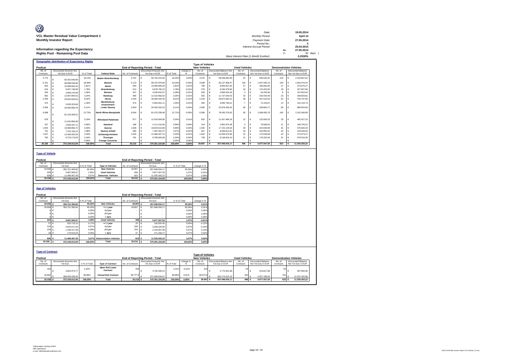| O                                       | Date:                                 |    | 19.05.2014 |
|-----------------------------------------|---------------------------------------|----|------------|
| VCL Master Residual Value Compartment 1 | Monthly Period:                       |    | April 14   |
| <b>Monthly Investor Report</b>          | Payment Date:                         |    | 27.05.2014 |
|                                         | Period No.:                           |    |            |
|                                         | Interest Accrual Period:              |    | 25.04.2014 |
| Information regarding the Expectancy    |                                       | to | 27.05.2014 |
| Rights Pool - Remaining Pool Data       |                                       |    | 32 days    |
|                                         | Base Interest Rate (1-Month Euribor): |    | 0.2530%    |

|         |           | <b>Geographic distribution of Expectancy Rights</b> |            |                               |                  |                                        |            |           |                         |   |                               |                      |                    |                               |   |                           |
|---------|-----------|-----------------------------------------------------|------------|-------------------------------|------------------|----------------------------------------|------------|-----------|-------------------------|---|-------------------------------|----------------------|--------------------|-------------------------------|---|---------------------------|
|         |           |                                                     |            |                               |                  |                                        |            |           | <b>Type of Vehicles</b> |   |                               |                      |                    |                               |   |                           |
| Poolcut |           |                                                     |            |                               |                  | <b>End of Reporting Period - Total</b> |            |           | <b>New Vehicles</b>     |   |                               | <b>Used Vehicles</b> |                    | <b>Demonstration Vehicles</b> |   |                           |
|         | No. of    | <b>Discounted Amounts Not</b>                       |            |                               |                  | <b>Discounted Amounts Not</b>          |            | change in | No of                   |   | <b>Discounted Balance Not</b> | No. of               | Discounted Balance | No. of                        |   | <b>Discounted Balance</b> |
|         | Contracts | Yet Due in EUR                                      | % of Total | <b>Federal State</b>          | No. of Contracts | Yet Due in EUR                         | % of Total | %         | Contracts               |   | Yet Due in EUR                | Contracts            | Not Yet Due in EUR | Contracts                     |   | Not Yet Due in EUR        |
|         | 4.770     | 60.252.646.86                                       | 16.15%     | <b>Baden-Wuerttemberg</b>     | 4.761            | 60.791.015.92<br>c                     | 16.20%     | 0.05%     | 4.575                   | € | 58.039.681.95                 | 52                   | 646.526.35         | 134                           | ¢ | 2.104.807.62              |
|         | 5.151     | 68,588,546.89                                       | 18.38%     | Bavaria                       | 5.113            | 68,797,879,85                          | 18.33%     | $-0.05%$  | 4.838                   | € | 65.127.308.47                 | 120                  | 1.407.095.14       | 155                           | € | 2.263.476.24              |
|         | 843       | 10.488.665.42                                       | 2.81%      | <b>Berlin</b>                 | 843              | 10,596,685.93                          | 2.82%      | 0.01%     | 789                     | € | 9.893.927.82                  | 27                   | 328.082.84         | 27                            |   | 374,675.27                |
|         | 619       | 6,657,748.08                                        | 1.78%      | <b>Brandenburg</b>            | 614              | 6,678,790.10                           | 1.78%      | $-0.01%$  | 578                     | € | 6.294.378.84                  | 18                   | 176,453.60         | 18                            |   | 207.957.66                |
|         | 334       | 3.969.144.69                                        | 1.06%      | <b>Bremen</b>                 | 337              | 4.035.642.07                           | 1.08%      | 0.01%     | 326                     | € | 3.893.561.64                  |                      | 34.255.99          | 8                             |   | 107.824.44                |
|         | 962       | 12.087.864.52                                       | 3.24%      | Hamburg                       | 965              | 12.216.682.82                          | 3.25%      | 0.01%     | 932                     | € | 11.727.643.53                 | 10                   | 150.434.48         | 23                            |   | 338,604.81                |
|         | 2.346     | 29.934.508.53                                       | 8.02%      | Hesse                         | 2.334            | 30.080.444.40                          | 8.01%      | $-0.01%$  | 2.244                   | € | 28.872.060.31                 | 38                   | 457.616.53         | 52                            |   | 750.767.56                |
|         | 475       | 5.005.323.84                                        | 1.34%      | Mecklenburg-<br>Vorpommern    | 475              | 5.064.091.11                           | 1.35%      | 0.01%     | 456                     | € | 4.830.790.51                  |                      | 72.155.87          | 12                            | € | 161.144.73                |
|         | 2.959     | 34.000.958.78                                       | 9 1 1%     | <b>Lower Saxonv</b>           | 2.943            | 34.200.202.02                          | 9.11%      | 0.00%     | 2.835                   | € | 32.879.493.25                 | 39                   | 439.864.77         | 69                            |   | 880,844.00                |
|         | 6,598     | 81.163.359.41                                       | 21.75%     | <b>North Rhine-Westphalia</b> | 6,564            | 81.475.338.48                          | 21,71%     | $-0.05%$  | 6,306                   | € | 78.245.276.62                 | 93                   | 1.068.495.78       | 165                           | ¢ | 2.161.566.08              |
|         | 978       | 11.915.894.48                                       | 3.19%      | <b>Rhineland-Palatinate</b>   | 977              | 12.016.006.80                          | 3.20%      | 0.01%     | 932                     | € | 11.427.486.24                 | 12                   | 123,093.33         | 33                            | c | 465.427.23                |
|         | 167       | 2.093.337.11                                        | 0.56%      | Saarland                      | 168              | 2.111.191.66                           | 0.56%      | 0.00%     | 154                     | € | 1.861.874.48                  | $\mathbf{a}$         | 79,568.03          | 11                            | ¢ | 169,749.15                |
|         | 1.604     | 18.388.863.72                                       | 4.93%      | Saxony                        | 1.606            | 18,624,613.96                          | 4.96%      | 0.03%     | 1.535                   | € | 17.722.143.64                 | 29                   | 323,649.99         | 42                            | c | 578,820,33                |
|         | 701       | 7.376.784.14                                        | 1.98%      | Saxony-Anhalt                 | 695              | 7.387.691.57                           | 1.97%      | $-0.01%$  | 657                     |   | 6.948.812.81                  | 18                   | 220.850.32         | 20                            |   | 218.028.44                |
|         | 1.047     | 12.460.092.56                                       | 3.34%      | <b>Schleswig-Holstein</b>     | 1.040            | 12.498.287.31                          | 3.33%      | $-0.01%$  | 1.002                   | € | 12.055.674.96                 | 15                   | 170,539.08         | 23                            | € | 272.073.27                |
|         | 782       | 8,723,173,03                                        | 2.34%      | <b>Thuringia</b>              | 781              | 8,786,660.89                           | 2.34%      | 0.00%     | 738                     | € | 8.128.819.10                  | 12                   | 178,325.40         | 31                            | c | 479.516.39                |
|         |           |                                                     | 0.00%      | <b>Foreian Countries</b>      |                  |                                        | 0.00%      | 0.00%     |                         |   |                               |                      |                    |                               |   |                           |
|         | 30.336    | 373.106.912.06                                      | 100.00%    | <b>Total</b>                  | 30.216           | 375.361.224.89                         | 100.00%    | 0.00%     | 28,897                  |   | 357.948.934.17                | 496                  | 5.877.007.50       | 823                           |   | 11.535.283.22             |

**Type of Vehicle**

| Poolcut           |                        |                |               |                           | <b>End of Reporting Period - Total</b> |                        |                |               |             |  |  |  |
|-------------------|------------------------|----------------|---------------|---------------------------|----------------------------------------|------------------------|----------------|---------------|-------------|--|--|--|
| No. of            | Discounted Amounts Not |                |               |                           |                                        | Discounted Amounts Not |                |               |             |  |  |  |
| Contracts         |                        | Yet Due        | in % of Total | <b>Type of Vehicles</b>   | No. of Contracts                       |                        | Yet Due        | in % of Total | change in % |  |  |  |
| 29.006 €          |                        | 355,751,383,60 | 95.35%        | <b>New Vehicles</b>       | 28.897                                 | ۱€                     | 357.948.934.17 | 95.36%        | 0.01%       |  |  |  |
| 504 €             |                        | 5.887.060.97   | 1.58%         | <b>Used Vehicles</b>      | 496                                    | ء ا                    | 5,877,007.50   | 1.57%         | $-0.01%$    |  |  |  |
| 826 €             |                        | 11.468.467.49  | 3.07%         | <b>Demonstr.</b> Vehicles | 823                                    | -6                     | 11.535.283.22  | 3.07%         | 0.00%       |  |  |  |
| 30.336 $\epsilon$ |                        | 373,106,912.06 | 100.00%       | <b>Total</b>              | 30.216                                 | ے ا                    | 375.361.224.89 | 100.00%       | 0.00%       |  |  |  |

|         | <b>Age of Vehicles</b>  |                               |               |                              |                   |                                 |               |                         |  |  |  |  |  |
|---------|-------------------------|-------------------------------|---------------|------------------------------|-------------------|---------------------------------|---------------|-------------------------|--|--|--|--|--|
| Poolcut |                         |                               |               |                              |                   | End of Reporting Period - Total |               |                         |  |  |  |  |  |
|         | No. of                  | <b>Discounted Amounts Not</b> |               |                              |                   | <b>Discounted Amounts Not</b>   |               |                         |  |  |  |  |  |
|         | Contracts               | Yet Due                       | in % of Total |                              | No. of Contracts  | Yet Due                         | in % of Total | change in %             |  |  |  |  |  |
|         | 29.006 €                | 355,751,383,60                | 95,35%        | <b>New Vehicles</b>          | 28.897 €          | 357.948.934.17                  | 95,36%        | 0,01%                   |  |  |  |  |  |
|         | 29.006 €                | 355,751,383.60                | 95.35%        | $= 1$ year                   | 28.897            | 357.948.934.17                  | 95.36%        | 0.01%                   |  |  |  |  |  |
|         | $\circ$                 | €<br>$\sim$                   | 0,00%         | $1-2$ yrs                    |                   | $\overline{\phantom{a}}$        | 0,00%         | 0,00%                   |  |  |  |  |  |
|         |                         | $0 \in$<br>$\sim$             | 0,00%         | $2-3$ yrs                    | $\sim$            | $\overline{\phantom{a}}$        | 0.00%         | 0.00%                   |  |  |  |  |  |
|         | 0I                      | €<br>$\sim$                   | 0,00%         | > 3yrs                       | $\sim$            | $\overline{\phantom{a}}$        | 0,00%         | 0,00%                   |  |  |  |  |  |
|         | 504 €                   | 5.887.060,97                  | 1,58%         | <b>Used vehicles</b>         | 496 €             | 5.877.007,50                    | 1.57%         | $-0,01%$                |  |  |  |  |  |
|         | 57                      | €<br>633.716,10               | 0,17%         | $= 1$ year                   | 20                | 192.824,40                      | 0,05%         | $-0,12%$                |  |  |  |  |  |
|         | 315 $\in$               | 3.634.017.26                  | 0,97%         | $1-2$ yrs                    | 289               | 3.269.328.85                    | 0,87%         | $-0,10%$                |  |  |  |  |  |
|         | 104 €                   | 1.439.417.58                  | 0,39%         | $2-3$ yrs                    | 150               | 2.143.587.98                    | 0,57%         | 0,19%                   |  |  |  |  |  |
|         | 28 €                    | 179.910,03                    | 0,05%         | > 3yrs                       | 37                | 271.266,27                      | 0,07%         | 0,02%                   |  |  |  |  |  |
|         |                         |                               |               |                              |                   |                                 |               |                         |  |  |  |  |  |
|         | 826 €                   | 11.468.467,49                 | 3,07%         | <b>Demonstation Vehicles</b> | 823 €             | 11.535.283,22                   | 3,07%         | 0,00%                   |  |  |  |  |  |
|         | 30.336 $\epsilon$       | 373.106.912,06                | 100,00%       | <b>Total</b>                 | 30.216 $\epsilon$ | 375.361.224.89                  | 100,00%       | 0,00%                   |  |  |  |  |  |
|         |                         |                               |               |                              |                   |                                 |               |                         |  |  |  |  |  |
|         |                         |                               |               |                              |                   |                                 |               |                         |  |  |  |  |  |
|         | <b>Type of Contract</b> |                               |               |                              |                   |                                 |               |                         |  |  |  |  |  |
|         |                         |                               |               |                              |                   |                                 |               | <b>Type of Vehicles</b> |  |  |  |  |  |

|                                                   |           |                               |               |                            |                  | . The or complete             |            |           |                     |                               |                      |                               |           |                           |
|---------------------------------------------------|-----------|-------------------------------|---------------|----------------------------|------------------|-------------------------------|------------|-----------|---------------------|-------------------------------|----------------------|-------------------------------|-----------|---------------------------|
| Poolcut<br><b>End of Reporting Period - Total</b> |           |                               |               |                            |                  |                               |            |           | <b>New Vehicles</b> |                               | <b>Used Vehicles</b> | <b>Demonstration Vehicles</b> |           |                           |
|                                                   | No. of    | <b>Discounted Amounts Not</b> |               |                            |                  | <b>Discounted Amounts Not</b> |            | change in | No a                | <b>Discounted Balance Not</b> | No. of               | Discounted Balance            | No. of    | <b>Discounted Balance</b> |
|                                                   | Contracts | Yet Due                       | in % of Total | <b>Type of Contract</b>    | No. of Contracts | Yet Due in EUR                | % of Total |           | Contracts           | Yet Due in EUR                | Contracts            | Not Yet Due in EUR            | Contracts | Not Yet Due in EUR        |
|                                                   | 444       | 3.823.475.77                  | 1.02%         | Open End Lease<br>Contract | 439              | 3,792,590.22                  | 1.01%      | $-0.01%$  | 323                 | 2,774,921.98                  |                      | 519,817.88                    | 62        | 497.850.36                |
|                                                   | 29.892    | 369.283.436.29                | 98.98%        | <b>Closed End Contract</b> | 29.777 €         | 371,568,634,67                | 98.99%     | 0.01%     | 28.574 €            | 355.174.012.19                | 442                  | 5.357.189.62                  | 761       | 11.037.432.86             |
|                                                   | 30,336    | 373,106,912.06                | 100.00%       | <b>Total</b>               | 30,216           | 375.361.224.89                | 100,00%    | 0.00%     | 28,897              | 357,948,934,17                | 496                  | 5,877,007.50                  | 823       | 11.535.283.22             |
|                                                   |           |                               |               |                            |                  |                               |            |           |                     |                               |                      |                               |           |                           |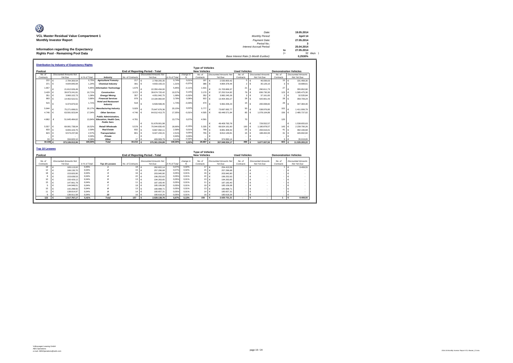| Ø                                        |                                       |    |            |
|------------------------------------------|---------------------------------------|----|------------|
|                                          | Date:                                 |    | 19.05.2014 |
| VCL Master Residual Value Compartment 1  | Monthly Period:                       |    | April 14   |
| <b>Monthly Investor Report</b>           | Payment Date:                         |    | 27.05.2014 |
|                                          | Period No.:                           |    |            |
|                                          | <b>Interest Accrual Period:</b>       |    | 25.04.2014 |
| Information regarding the Expectancy     |                                       | to | 27.05.2014 |
| <b>Rights Pool - Remaining Pool Data</b> |                                       |    | 32 days    |
|                                          | Base Interest Rate (1-Month Euribor): |    | 0.2530%    |
|                                          |                                       |    |            |

|                   | <b>Distribution by Industry of Expectancy Rights</b>                                                                                                                       |                |                                                                                 |                  |                                                                         |                |                |                                                |                               |                      |                            |                         |                                                            |
|-------------------|----------------------------------------------------------------------------------------------------------------------------------------------------------------------------|----------------|---------------------------------------------------------------------------------|------------------|-------------------------------------------------------------------------|----------------|----------------|------------------------------------------------|-------------------------------|----------------------|----------------------------|-------------------------|------------------------------------------------------------|
|                   |                                                                                                                                                                            |                |                                                                                 |                  |                                                                         |                |                | <b>Type of Vehicles</b><br><b>New Vehicles</b> |                               | <b>Used Vehicles</b> |                            |                         |                                                            |
| Poolcut<br>No. of | <b>Discounted Amounts Not</b>                                                                                                                                              |                |                                                                                 |                  | <b>End of Reporting Period - Total</b><br><b>Discounted Amounts Not</b> |                |                | No of                                          | <b>Discounted Amounts Not</b> | No of                | <b>Discounted Amounts</b>  | No of                   | <b>Demonstration Vehicles</b><br><b>Discounted Amounts</b> |
| Contracts         | Yet Due                                                                                                                                                                    | in % of Total  | Industry                                                                        | No. of Contracts | Yet Due                                                                 | in % of Tota   | change in<br>% | Contracts                                      | Yet Due                       | Contracts            | Not Yet Due                | Contracts               | Not Yet Due                                                |
| 222               | 2.784.300.54<br>¢                                                                                                                                                          | 0.75%          | <b>Agriculture/ Forestry</b>                                                    | 217              | 2.769.205.35<br>€                                                       | 0.74%          | 0,019          | 197                                            | €<br>2.530.800.42             | 5                    | €<br>46.936.63             | 15                      | $\epsilon$<br>191.468.30                                   |
| 371               | 4.644.840.94<br>¢                                                                                                                                                          | 1.24%          | <b>Chemical Industry</b>                                                        | 391              | €<br>4.933.193.15                                                       | 1,31%          | $-0.07%$       | 386                                            | 4.864.378.44<br>€             | $\overline{2}$       | €<br>35.126.10             | 3                       | €<br>33,688.61                                             |
| 1.657             | G<br>21.812.026.49                                                                                                                                                         | 5.85%          | <b>Information Technology</b>                                                   | 1.679            | c<br>22.350.434.00                                                      | 5.95%          | $-0.11%$       | 1.631                                          | $\epsilon$<br>21.703.869.37   | 21                   | €<br>290.611.73            | 27                      | ¢<br>355 952 90                                            |
| 3.429             | 39.973.241.81<br>¢                                                                                                                                                         | 10.71%         | Construction                                                                    | 3.372            | €<br>39.674.720.42                                                      | 10.57%         | 0.14%          | 3.170                                          | €<br>37.252.514.82            | 79                   | €<br>836,730.30            | 123                     | ¢<br>1,585,475.30                                          |
| 351               | 3.960.102.73<br>€                                                                                                                                                          | 1.06%          | Energy/Mining                                                                   | 357              | ¢<br>4.051.942.75                                                       | 1.08%          | $-0.02%$       | 352                                            | €<br>3.982.245.26             | 3                    | 37.161.65<br>€             | $\overline{2}$          | ¢<br>32.535.84                                             |
| 993               | 14.402.522.51<br>G                                                                                                                                                         | 3.86%          | <b>Financial Services</b>                                                       | 978              | ¢<br>14.184.960.94                                                      | 3.78%          | 0.08%          | 922                                            | €<br>13.404.350.27            | 28                   | €<br>420.901.43            | 28                      | $\epsilon$<br>359,709.24                                   |
| 515               | ¢<br>6.374.870.02                                                                                                                                                          | 1.71%          | <b>Hotel and Restaurant</b><br>Industry                                         | 518              | ¢<br>6,509,599.45                                                       | 1.739          | $-0.03%$       | 47                                             | €<br>5.962.206.23             | 15                   | €<br>200.008.82            | 29                      | €<br>347,384.40                                            |
| 5.944             | 75.271.699.01                                                                                                                                                              | 20.17%         | <b>Manufacturing Industry</b>                                                   | 5.929            | ¢<br>75,647,676,36                                                      | 20.15%         | 0.02%          | 5.77                                           | $\epsilon$<br>73.697.692.77   | 50                   | €<br>538.976.80            | 102                     | ¢<br>1.411.006.79                                          |
| 4.746             | G<br>63.591.923.84                                                                                                                                                         | 17.04%         | <b>Other Services</b>                                                           | 4.746            | ¢<br>64.012.413.75                                                      | 17.05%         | $-0.01%$       | 4.505                                          | $\epsilon$<br>60.448.571.84   | 85                   | $\epsilon$<br>1.078.104.89 | 156                     | $\epsilon$<br>2.485.737.02                                 |
| 4.862             | 51.645.484.62<br>c                                                                                                                                                         | 13.84%         | <b>Public Administration.</b><br><b>Education, Health Care.</b><br>Public Serv. | 4.781            |                                                                         | 13.77%         | 0.079          | 4.591                                          |                               | 70                   |                            | 120                     |                                                            |
|                   |                                                                                                                                                                            |                |                                                                                 |                  | ¢<br>51.678.001.98                                                      |                |                |                                                | €<br>49.409.793.78            |                      | 729.552.57<br>€            |                         | ¢<br>1.538.655.63                                          |
| 5.557             | 69.081.738.04<br>¢                                                                                                                                                         | 18.52%         | Retail/ Wholesale                                                               | 5.578            | €<br>70.044.830.43                                                      | 18.66%         | $-0.15%$       | 5.335                                          | €<br>66.624.161.60            | 100                  | $\epsilon$<br>1.180.878.57 | 143                     | ¢<br>2.239.790.26                                          |
| 833<br>823        | ¢<br>9.655.103.75                                                                                                                                                          | 2.59%<br>2.57% | <b>Real Estate</b>                                                              | 832              | €<br>9.667.092.11                                                       | 2,58%          | 0.01%          | 768<br>755                                     | €<br>8.881.309.42             | 23                   | €<br>293.616.01            | 41                      | ¢<br>492.166.68                                            |
|                   | €<br>9.574.237.66<br>G                                                                                                                                                     | 0.00%          | <b>Transportation</b><br>Private                                                | 801              | €<br>9.427.244.41<br>¢                                                  | 2.51%<br>0.00% | 0.05%<br>0.00% |                                                | €<br>8.812.149.81<br>€        | 15                   | €<br>188,402.00<br>€       | 31                      | €<br>426,692.60<br>€                                       |
| 33                | 334.820.10                                                                                                                                                                 | 0.09%          | Other                                                                           | 37               | 409.909.79                                                              | 0.11%          | $-0.029$       | 34                                             | ¢<br>374,890.14               |                      | ¢                          | $\overline{\mathbf{3}}$ | c<br>35.019.65                                             |
| 30.336            | c<br>373,106,912.06                                                                                                                                                        | 100.00%        | Total                                                                           | 30.216           | 375.361.224.89                                                          | 100,00%        | 0.00%          | 28,897                                         | ¢<br>357.948.934.17           | 496                  | ¢<br>5.877.007.50          | 823                     | ¢<br>11.535.283.22                                         |
| Poolcut           | <b>Top 10 Lessees</b><br><b>Type of Vehicles</b><br><b>New Vehicles</b><br><b>Used Vehicles</b><br><b>End of Reporting Period - Total</b><br><b>Demonstration Vehicles</b> |                |                                                                                 |                  |                                                                         |                |                |                                                |                               |                      |                            |                         |                                                            |
| No. of            | <b>Discounted Amounts Not</b>                                                                                                                                              |                |                                                                                 |                  | <b>Discounted Amounts Not</b>                                           |                | change in      | No. of                                         | <b>Discounted Amounts Not</b> | No. of               | <b>Discounted Amounts</b>  | No. of                  | <b>Discounted Amounts</b>                                  |
| Contracts         | Yet Due                                                                                                                                                                    | in % of Total  | Top 10 Lessees                                                                  | No. of Contracts | Yet Due                                                                 | in % of Tota   | %              | Contracts                                      | Yet Due                       | Contracts            | Not Yet Due                | Contracts               | Not Yet Due                                                |
| 19                | ¢<br>183.113.02                                                                                                                                                            | 0.05%          |                                                                                 | 18               | ¢<br>262.822.14                                                         | 0.07%          | 0.02%          | 17                                             | €<br>254.413.59               |                      | €                          | 1                       | €<br>8.408.55                                              |
| 12                | ¢<br>166.130.70                                                                                                                                                            | 0.04%          | $\overline{2}$                                                                  | 15               | ¢<br>257.296.68                                                         | 0.07%          | 0.02%          | 15                                             | €<br>257.296.68               |                      | €                          |                         | ¢                                                          |
| 18                | ¢<br>153,820.95                                                                                                                                                            | 0.04%          | $\overline{\mathbf{3}}$                                                         | 16               | €<br>203.940.90                                                         | 0.05%          | 0.01%          | 16                                             | €<br>203.940.90               |                      | €                          |                         | €                                                          |
| 8                 | €<br>153,638.53                                                                                                                                                            | 0.04%          |                                                                                 | 22               | €<br>196.252.63                                                         | 0.05%          | 0.01%          | 22                                             | €<br>196.252.63               |                      | €                          |                         | €                                                          |
| 10                | ¢<br>150.429.12                                                                                                                                                            | 0.04%          |                                                                                 | 13               | ¢<br>194.263.65                                                         | 0.05%          | 0.01%          | 13                                             | €<br>194.263.65               |                      | €                          |                         | ¢                                                          |
| 15<br>5           | ¢<br>147.661.79                                                                                                                                                            | 0.04%          | 6                                                                               | 11               | ¢<br>187.183.40                                                         | 0.05%          | 0.01%          | 11                                             | €<br>187.183.40               |                      | €                          |                         | ¢                                                          |
|                   | ¢<br>144.948.01<br>¢                                                                                                                                                       | 0.04%          | $\overline{z}$<br>$\boldsymbol{s}$                                              | 19               | ¢<br>185,106.08<br>¢                                                    | 0.05%          | 0.01%          | 19                                             | €<br>185,106.08<br>€          |                      | €                          |                         | ¢<br>¢                                                     |
| 15<br>11          | 142.298.50<br>¢<br>138.814.97                                                                                                                                              | 0.04%<br>0,04% | $\mathbf{Q}$                                                                    | 13<br>14         | 180.998.71<br>¢<br>180.657.31                                           | 0.05%<br>0.05% | 0.01%<br>0.01% | 13<br>14                                       | 180.998.71<br>€<br>180.657.31 |                      | €<br>€                     |                         | ¢                                                          |
| $\mathbf{Q}$      | €<br>136.911.58                                                                                                                                                            | 0.04%          | 10                                                                              | 16               | ¢<br>180.618,26                                                         | 0.05%          | 0.01%          | 16                                             | €<br>180.618,26               |                      | €                          |                         | ٠<br>¢                                                     |
| 122               | €<br>1,517,767,17                                                                                                                                                          | 0.41%          | <b>Total</b>                                                                    | 157              | €<br>2.029.139.76                                                       | 0.67%          | 0.13%          | 156                                            | €<br>2.020.731.21             | $\overline{a}$       | €                          | $\overline{1}$          | €<br>8.408.55                                              |
|                   |                                                                                                                                                                            |                |                                                                                 |                  |                                                                         |                |                |                                                |                               |                      |                            |                         |                                                            |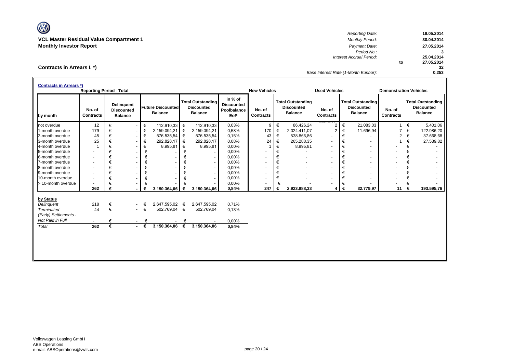V **VCL Master Residual Value Compartment 1** *Monthly Period:* **30.04.2014**

*Reporting Date:* **19.05.2014 Monthly Investor Report** *Payment Date:* **27.05.2014** *Period No.:* **3** *Interest Accrual Period:* **2014 to 27.05.2014 32** *Base Interest Rate (1-Month Euribor):* **0,253**

| Contracts in Arrears I.*) |  |  |
|---------------------------|--|--|
|---------------------------|--|--|

|                                           | <b>Contracts in Arrears *)</b> |   |                                                          |                    |                                            |   |                                                                 |                                                           |                          |   |                                                                 |                            |    |                                                                 |                               |   |                                                                 |  |
|-------------------------------------------|--------------------------------|---|----------------------------------------------------------|--------------------|--------------------------------------------|---|-----------------------------------------------------------------|-----------------------------------------------------------|--------------------------|---|-----------------------------------------------------------------|----------------------------|----|-----------------------------------------------------------------|-------------------------------|---|-----------------------------------------------------------------|--|
| <b>Reporting Period - Total</b>           |                                |   |                                                          |                    |                                            |   |                                                                 |                                                           | <b>New Vehicles</b>      |   |                                                                 | <b>Used Vehicles</b>       |    |                                                                 | <b>Demonstration Vehicles</b> |   |                                                                 |  |
| by month                                  | No. of<br><b>Contracts</b>     |   | <b>Delinquent</b><br><b>Discounted</b><br><b>Balance</b> |                    | <b>Future Discounted</b><br><b>Balance</b> |   | <b>Total Outstanding</b><br><b>Discounted</b><br><b>Balance</b> | in % of<br><b>Discounted</b><br>Poolbalance<br><b>EoP</b> | No. of<br>Contracts      |   | <b>Total Outstanding</b><br><b>Discounted</b><br><b>Balance</b> | No. of<br><b>Contracts</b> |    | <b>Total Outstanding</b><br><b>Discounted</b><br><b>Balance</b> | No. of<br><b>Contracts</b>    |   | <b>Total Outstanding</b><br><b>Discounted</b><br><b>Balance</b> |  |
| not overdue                               | 12                             | € | $\overline{\phantom{a}}$                                 | €                  | 112.910.33                                 | € | 112.910,33                                                      | 0,03%                                                     | 9                        |   | €<br>86.426,24                                                  | $\overline{2}$             | €  | 21.083,03                                                       | -1                            | € | 5.401,06                                                        |  |
| 1-month overdue                           | 179                            |   | $\overline{\phantom{a}}$                                 | €                  | 2.159.094,21                               | € | 2.159.094,21                                                    | 0,58%                                                     | 170                      | € | 2.024.411,07                                                    | 2                          | €  | 11.696,94                                                       | $\overline{7}$                | € | 122.986,20                                                      |  |
| 2-month overdue                           | 45                             |   | $\overline{\phantom{a}}$                                 | €                  | 576.535,54                                 | € | 576.535,54                                                      | 0.15%                                                     | 43                       | € | 538.866,86                                                      |                            | €  |                                                                 | $\overline{2}$                | € | 37.668,68                                                       |  |
| 3-month overdue                           | 25                             | € | $\overline{\phantom{a}}$                                 | €                  | 292.828,17                                 | € | 292.828,17                                                      | 0,08%                                                     | 24                       | € | 265.288,35                                                      | ٠                          | €  | $\blacksquare$                                                  |                               | € | 27.539,82                                                       |  |
| 4-month overdue                           |                                | € | $\overline{\phantom{a}}$                                 | €                  | 8.995,81                                   | € | 8.995,81                                                        | 0,00%                                                     |                          |   | €<br>8.995,81                                                   | $\sim$                     | €  | ۰                                                               |                               | € |                                                                 |  |
| 5-month overdue                           | $\sim$                         | € | $\overline{\phantom{a}}$                                 | €                  |                                            | € |                                                                 | 0,00%                                                     |                          | € |                                                                 | $\sim$                     | €  | ۰                                                               |                               | € |                                                                 |  |
| 6-month overdue                           | $\blacksquare$                 | € |                                                          | €                  |                                            | € | н.                                                              | 0,00%                                                     |                          | € |                                                                 |                            | €  | $\blacksquare$                                                  |                               | € |                                                                 |  |
| 7-month overdue                           | $\overline{\phantom{a}}$       | € | $\overline{\phantom{a}}$                                 | €                  | $\overline{\phantom{a}}$                   | € | $\sim$                                                          | 0,00%                                                     | $\blacksquare$           | € | $\overline{\phantom{a}}$                                        | ٠                          | €  | ۰                                                               |                               | € | ٠                                                               |  |
| 8-month overdue                           | $\sim$                         | € | $\overline{\phantom{a}}$                                 | €                  |                                            | € | $\sim$                                                          | 0,00%                                                     | $\overline{\phantom{a}}$ | € |                                                                 | $\sim$                     | €  | ۰                                                               |                               | € |                                                                 |  |
| 9-month overdue                           | $\overline{\phantom{a}}$       | € | $\overline{\phantom{a}}$                                 | €                  |                                            | € | $\sim$                                                          | 0,00%                                                     |                          |   | €                                                               |                            | €  |                                                                 |                               | € |                                                                 |  |
| 10-month overdue                          |                                | € |                                                          | €                  |                                            |   | $\sim$                                                          | 0,00%                                                     |                          |   | €                                                               |                            | €  |                                                                 |                               | € |                                                                 |  |
| > 10-month overdue                        | $\sim$                         |   |                                                          |                    |                                            |   |                                                                 | 0,00%                                                     | $\blacksquare$           |   | €                                                               | ٠                          | €  |                                                                 |                               | € |                                                                 |  |
|                                           | 262                            | € |                                                          | €                  | 3.150.364,06                               | € | 3.150.364,06                                                    | 0,84%                                                     | 247                      | € | 2.923.988,33                                                    | 4                          | ∣€ | 32.779,97                                                       | 11                            | € | 193.595,76                                                      |  |
| by Status<br>Delinquent                   | 218                            | € | $\sim$                                                   |                    | 2.647.595,02                               | € | 2.647.595,02                                                    | 0,71%                                                     |                          |   |                                                                 |                            |    |                                                                 |                               |   |                                                                 |  |
| <b>Terminated</b>                         | 44                             | € | $\sim 100$                                               | €                  | 502.769,04                                 | € | 502.769,04                                                      | 0,13%                                                     |                          |   |                                                                 |                            |    |                                                                 |                               |   |                                                                 |  |
|                                           |                                |   |                                                          |                    |                                            |   |                                                                 |                                                           |                          |   |                                                                 |                            |    |                                                                 |                               |   |                                                                 |  |
| (Early) Settlements -<br>Not Paid in Full |                                |   |                                                          |                    |                                            |   |                                                                 |                                                           |                          |   |                                                                 |                            |    |                                                                 |                               |   |                                                                 |  |
|                                           |                                | € | $\sim$                                                   | €                  |                                            | € |                                                                 | 0,00%                                                     |                          |   |                                                                 |                            |    |                                                                 |                               |   |                                                                 |  |
| Total                                     | 262                            | € |                                                          | $\cdot$ $\epsilon$ | 3.150.364,06                               | € | 3.150.364,06                                                    | 0,84%                                                     |                          |   |                                                                 |                            |    |                                                                 |                               |   |                                                                 |  |
|                                           |                                |   |                                                          |                    |                                            |   |                                                                 |                                                           |                          |   |                                                                 |                            |    |                                                                 |                               |   |                                                                 |  |
|                                           |                                |   |                                                          |                    |                                            |   |                                                                 |                                                           |                          |   |                                                                 |                            |    |                                                                 |                               |   |                                                                 |  |
|                                           |                                |   |                                                          |                    |                                            |   |                                                                 |                                                           |                          |   |                                                                 |                            |    |                                                                 |                               |   |                                                                 |  |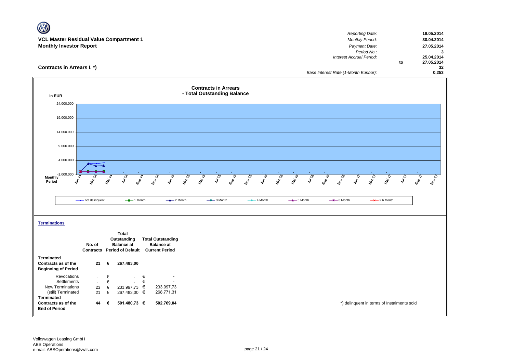| W                                                                        |                  |
|--------------------------------------------------------------------------|------------------|
| Reporting Date:                                                          | 19.05.2014       |
| <b>VCL Master Residual Value Compartment 1</b><br><b>Monthly Period:</b> | 30.04.2014       |
| <b>Monthly Investor Report</b><br>Payment Date:                          | 27.05.2014       |
| Period No.:                                                              | 3                |
| Interest Accrual Period:                                                 | 25.04.2014       |
|                                                                          | 27.05.2014<br>to |
| Contracts in Arrears I. *)                                               | 32               |
| Base Interest Rate (1-Month Euribor):                                    | 0,253            |



**AVA**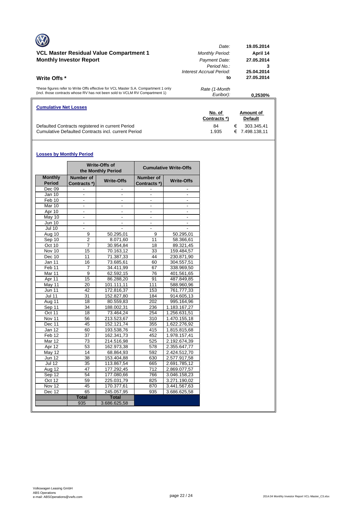| <b>Cumulative Net Losses</b>                                                                                                                                       | No. of<br>Contracts *)                                                                           | Amount of<br><b>Default</b>                                      |
|--------------------------------------------------------------------------------------------------------------------------------------------------------------------|--------------------------------------------------------------------------------------------------|------------------------------------------------------------------|
| *these figures refer to Write Offs effective for VCL Master S.A. Compartment 1 only<br>(incl. those contracts whose RV has not been sold to VCLM RV Compartment 1) | Rate (1-Month<br>Euribor):                                                                       | 0.2530%                                                          |
| VCL Master Residual Value Compartment 1<br><b>Monthly Investor Report</b><br>Write Offs *                                                                          | Date:<br><b>Monthly Period:</b><br>Payment Date:<br>Period No.<br>Interest Accrual Period:<br>to | 19.05.2014<br>April 14<br>27.05.2014<br>25.04.2014<br>27.05.2014 |
|                                                                                                                                                                    |                                                                                                  |                                                                  |

Defaulted Contracts registered in current Period 64 6 84 € 303.345,41 Cumulative Defaulted Contracts incl. current Period 1.935 € 7.498.138,11

#### **Losses by Monthly Period**

|                                 |                                  | <b>Write-Offs of</b><br>the Monthly Period | <b>Cumulative Write-Offs</b> |                   |  |  |  |
|---------------------------------|----------------------------------|--------------------------------------------|------------------------------|-------------------|--|--|--|
| <b>Monthly</b><br><b>Period</b> | <b>Number of</b><br>Contracts *) | <b>Write-Offs</b>                          | Number of<br>Contracts *)    | <b>Write-Offs</b> |  |  |  |
| Dec 09                          |                                  |                                            |                              |                   |  |  |  |
| Jan 10                          |                                  |                                            |                              |                   |  |  |  |
| Feb 10                          | ٠                                | ÷,                                         | $\overline{\phantom{a}}$     | ٠                 |  |  |  |
| Mar 10                          | $\blacksquare$                   | $\overline{a}$                             | $\blacksquare$               | ٠                 |  |  |  |
| Apr 10                          |                                  |                                            |                              |                   |  |  |  |
| May 10                          | ÷.                               | $\overline{\phantom{a}}$                   | $\overline{\phantom{a}}$     | ٠                 |  |  |  |
| <b>Jun 10</b>                   |                                  |                                            |                              |                   |  |  |  |
| Jul 10                          |                                  |                                            |                              |                   |  |  |  |
| Aug 10                          | 9                                | 50.295,01                                  | 9                            | 50.295,01         |  |  |  |
| Sep 10                          | $\overline{2}$                   | 8.071,60                                   | 11                           | 58.366,61         |  |  |  |
| Oct 10                          | $\overline{7}$                   | 30.954.84                                  | 18                           | 89.321,45         |  |  |  |
| Nov 10                          | 15                               | 70.163,12                                  | 33                           | 159.484,57        |  |  |  |
| Dec 10                          | 11                               | 71.387,33                                  | 44                           | 230.871,90        |  |  |  |
| Jan 11                          | 16                               | 73.685,61                                  | 60                           | 304.557,51        |  |  |  |
| Feb 11                          | 7                                | 34.411,99                                  | 67                           | 338.969,50        |  |  |  |
| Mar 11                          | 9                                | 62.592,15                                  | 76                           | 401.561,65        |  |  |  |
| Apr 11                          | 15                               | 86.288.20                                  | 91                           | 487.849,85        |  |  |  |
| May 11                          | 20                               | 101.111,11                                 | 111                          | 588.960,96        |  |  |  |
| Jun 11                          | 42                               | 172.816,37                                 | 153                          | 761.777,33        |  |  |  |
| <b>Jul 11</b>                   | 31                               | 152.827,80                                 | 184                          | 914.605,13        |  |  |  |
| Aug 11                          | 18                               | 80.559,83                                  | 202                          | 995.164,96        |  |  |  |
| Sep 11                          | $\overline{34}$                  | 188.002,31                                 | 236                          | 1.183.167,27      |  |  |  |
| Oct 11                          | 18                               | 73.464.24                                  | 254                          | 1.256.631.51      |  |  |  |
| Nov 11                          | 56                               | 213.523,67                                 | 310                          | 1.470.155,18      |  |  |  |
| Dec 11                          | 45                               | 152.121,74                                 | 355                          | 1.622.276,92      |  |  |  |
| Jan 12                          | 60                               | 193.538,76                                 | 415                          | 1.815.815,68      |  |  |  |
| Feb 12                          | 37                               | 162.341,73                                 | 452                          | 1.978.157,41      |  |  |  |
| Mar 12                          | 73                               | 214.516,98                                 | 525                          | 2.192.674,39      |  |  |  |
| Apr 12                          | 53                               | 162.973,38                                 | 578                          | 2.355.647,77      |  |  |  |
| May 12                          | 14                               | 68.864.93                                  | 592                          | 2.424.512,70      |  |  |  |
| <b>Jun 12</b>                   | $\overline{38}$                  | 153.404,88                                 | 630                          | 2.577.917,58      |  |  |  |
| Jul 12                          | $\overline{35}$                  | 113.867,54                                 | 665                          | 2.691.785,12      |  |  |  |
| Aug 12                          | 47                               | 177.292,45                                 | 712                          | 2.869.077,57      |  |  |  |
| Sep 12                          | 54                               | 177.080,66                                 | 766                          | 3.046.158,23      |  |  |  |
| Oct 12                          | 59                               | 225.031,79                                 | 825                          | 3.271.190,02      |  |  |  |
| $\overline{N}$ ov 12            | 45                               | 170.377,61                                 | 870                          | 3.441.567,63      |  |  |  |
| Dec 12                          | 65                               | 245.057,95                                 | 935                          | 3.686.625,58      |  |  |  |
|                                 | <b>Total</b>                     | <b>Total</b>                               |                              |                   |  |  |  |
|                                 | 935                              | 3.686.625,58                               |                              |                   |  |  |  |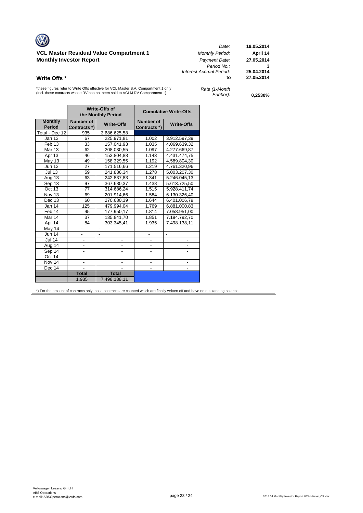# **VCL Master Residual Value Compartment 1** *Monthly Period:* **April 14**

| $\sqrt{2}$                                     | Date:                    | 19.05.2014 |
|------------------------------------------------|--------------------------|------------|
| <b>VCL Master Residual Value Compartment 1</b> | <b>Monthly Period:</b>   | April 14   |
| <b>Monthly Investor Report</b>                 | Payment Date:            | 27.05.2014 |
|                                                | Period No.:              | 3          |
|                                                | Interest Accrual Period: | 25.04.2014 |
| Write Offs *                                   | to                       | 27.05.2014 |

\*these figures refer to Write Offs effective for VCL Master S.A. Compartment 1 only (incl. those contracts whose RV has not been sold to VCLM RV Compartment 1)

| Rate (1-Month |  |
|---------------|--|
| Euribor):     |  |

*Euribor):* **0,2530%**

|                                 |                           | Write-Offs of<br>the Monthly Period |                                  | <b>Cumulative Write-Offs</b> |
|---------------------------------|---------------------------|-------------------------------------|----------------------------------|------------------------------|
| <b>Monthly</b><br><b>Period</b> | Number of<br>Contracts *) | <b>Write-Offs</b>                   | <b>Number of</b><br>Contracts *) | <b>Write-Offs</b>            |
| Total - Dec 12                  | 935                       | 3.686.625,58                        |                                  |                              |
| Jan 13                          | 67                        | 225.971,81                          | 1.002                            | 3.912.597,39                 |
| Feb <sub>13</sub>               | 33                        | 157.041,93                          | 1.035                            | 4.069.639,32                 |
| <b>Mar 13</b>                   | 62                        | 208.030,55                          | 1.097                            | 4.277.669,87                 |
| Apr 13                          | 46                        | 153.804,88                          | 1.143                            | 4.431.474,75                 |
| May 13                          | 49                        | 158.329,55                          | 1.192                            | 4.589.804,30                 |
| <b>Jun 13</b>                   | 27                        | 171.516,66                          | 1.219                            | 4.761.320,96                 |
| <b>Jul 13</b>                   | 59                        | 241.886,34                          | 1.278                            | 5.003.207,30                 |
| Aug 13                          | 63                        | 242.837,83                          | 1.341                            | 5.246.045,13                 |
| Sep 13                          | 97                        | 367.680,37                          | 1.438                            | 5.613.725,50                 |
| Oct 13                          | 77                        | 314.686,24                          | 1.515                            | 5.928.411,74                 |
| Nov 13                          | 69                        | 201.914,66                          | 1.584                            | 6.130.326,40                 |
| Dec 13                          | 60                        | 270.680,39                          | 1.644                            | 6.401.006,79                 |
| Jan 14                          | 125                       | 479.994,04                          | 1.769                            | 6.881.000,83                 |
| Feb 14                          | 45                        | 177.950,17                          | 1.814                            | 7.058.951,00                 |
| Mar 14                          | 37                        | 135.841,70                          | 1.851                            | 7.194.792,70                 |
| Apr 14                          | 84                        | 303.345,41                          | 1.935                            | 7.498.138,11                 |
| May 14                          |                           | $\blacksquare$                      |                                  | $\blacksquare$               |
| Jun 14                          | $\overline{\phantom{0}}$  | $\blacksquare$                      | $\blacksquare$                   | $\blacksquare$               |
| <b>Jul 14</b>                   | $\overline{\phantom{m}}$  |                                     |                                  |                              |
| Aug 14                          | $\overline{\phantom{m}}$  | $\qquad \qquad \blacksquare$        | -                                |                              |
| Sep 14                          | $\overline{\phantom{a}}$  | $\overline{\phantom{a}}$            | $\overline{\phantom{a}}$         | -                            |
| Oct 14                          |                           |                                     |                                  |                              |
| Nov 14                          | $\overline{\phantom{a}}$  | $\overline{a}$                      |                                  |                              |
| Dec 14                          |                           |                                     |                                  |                              |
|                                 | <b>Total</b>              | <b>Total</b>                        |                                  |                              |
|                                 | 1.935                     | 7.498.138,11                        |                                  |                              |